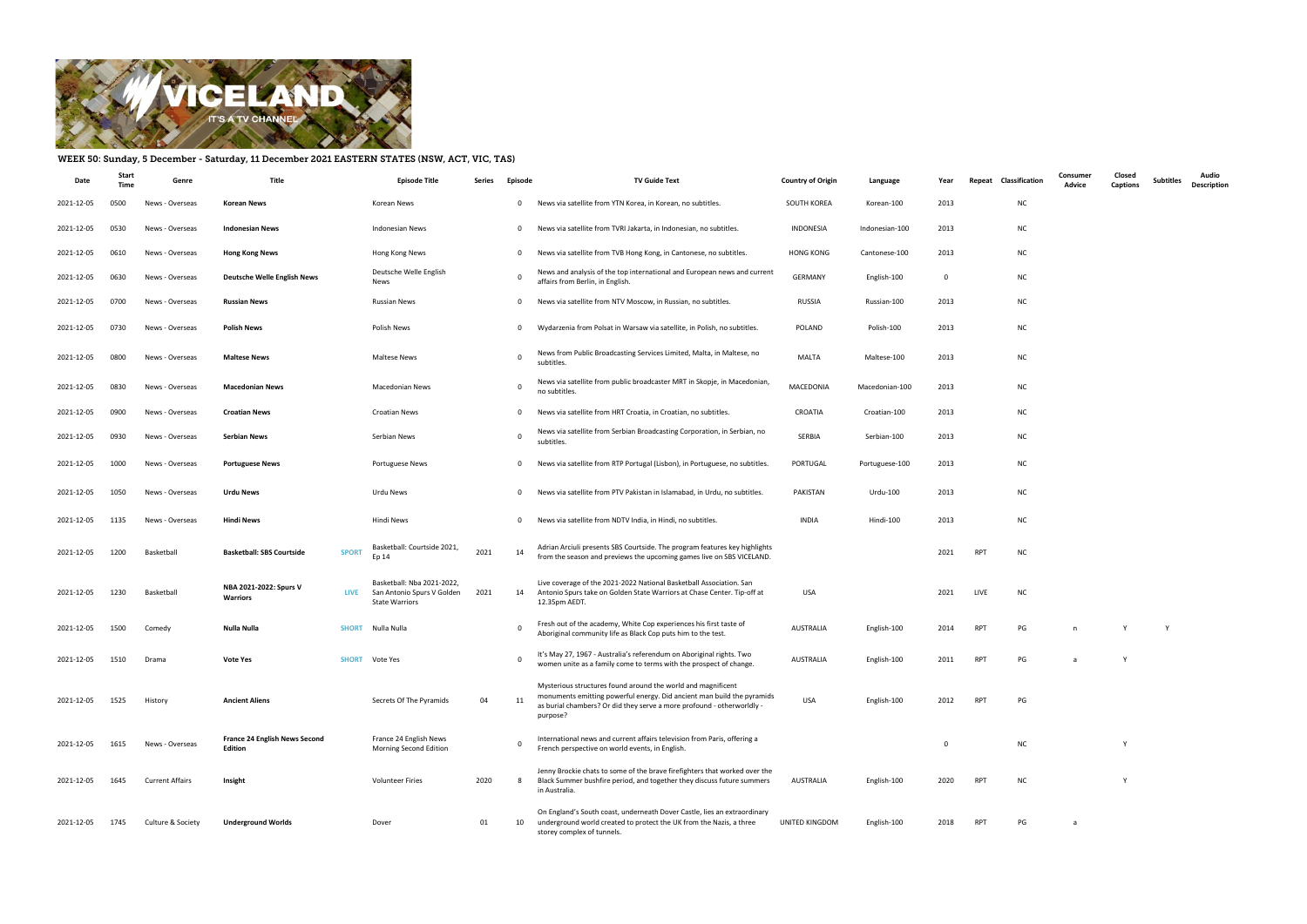

## WEEK 50: Sunday, 5 December - Saturday, 11 December 2021 EASTERN STATES (NSW, ACT, VIC, TAS)

| Date       | Stari<br>Time | Genre                  | Title                                                  |              | <b>Episode Title</b>                                                              | Series | Episode      | TV Guide Text                                                                                                                                                                                                              | <b>Country of Origin</b> | Language       | Year           | Classification<br>Repeat | Consumer<br>Advice | Closed<br><b>Captions</b> | <b>Subtitles</b> | Audio<br><b>Description</b> |
|------------|---------------|------------------------|--------------------------------------------------------|--------------|-----------------------------------------------------------------------------------|--------|--------------|----------------------------------------------------------------------------------------------------------------------------------------------------------------------------------------------------------------------------|--------------------------|----------------|----------------|--------------------------|--------------------|---------------------------|------------------|-----------------------------|
| 2021-12-05 | 0500          | News - Overseas        | <b>Korean News</b>                                     |              | Korean News                                                                       |        | $\mathbf 0$  | News via satellite from YTN Korea, in Korean, no subtitles.                                                                                                                                                                | SOUTH KOREA              | Korean-100     | 2013           | NC                       |                    |                           |                  |                             |
| 2021-12-05 | 0530          | News - Overseas        | <b>Indonesian News</b>                                 |              | Indonesian News                                                                   |        | $\mathbf{0}$ | News via satellite from TVRI Jakarta, in Indonesian, no subtitles.                                                                                                                                                         | INDONESIA                | Indonesian-100 | 2013           | NC                       |                    |                           |                  |                             |
| 2021-12-05 | 0610          | News - Overseas        | <b>Hong Kong News</b>                                  |              | Hong Kong News                                                                    |        | $\mathbf{0}$ | News via satellite from TVB Hong Kong, in Cantonese, no subtitles.                                                                                                                                                         | <b>HONG KONG</b>         | Cantonese-100  | 2013           | NC                       |                    |                           |                  |                             |
| 2021-12-05 | 0630          | News - Overseas        | Deutsche Welle English News                            |              | Deutsche Welle English<br>News                                                    |        | 0            | News and analysis of the top international and European news and current<br>affairs from Berlin, in English.                                                                                                               | <b>GERMANY</b>           | English-100    | $\overline{0}$ | <b>NC</b>                |                    |                           |                  |                             |
| 2021-12-05 | 0700          | News - Overseas        | <b>Russian News</b>                                    |              | <b>Russian News</b>                                                               |        | $\mathbf{0}$ | News via satellite from NTV Moscow, in Russian, no subtitles.                                                                                                                                                              | RUSSIA                   | Russian-100    | 2013           | NC                       |                    |                           |                  |                             |
| 2021-12-05 | 0730          | News - Overseas        | <b>Polish News</b>                                     |              | Polish News                                                                       |        | $\mathbf{0}$ | Wydarzenia from Polsat in Warsaw via satellite, in Polish, no subtitles.                                                                                                                                                   | POLAND                   | Polish-100     | 2013           | <b>NC</b>                |                    |                           |                  |                             |
| 2021-12-05 | 0800          | News - Overseas        | <b>Maltese News</b>                                    |              | Maltese News                                                                      |        | 0            | News from Public Broadcasting Services Limited, Malta, in Maltese, no<br>subtitles.                                                                                                                                        | MALTA                    | Maltese-100    | 2013           | <b>NC</b>                |                    |                           |                  |                             |
| 2021-12-05 | 0830          | News - Overseas        | <b>Macedonian News</b>                                 |              | <b>Macedonian News</b>                                                            |        | $\Omega$     | News via satellite from public broadcaster MRT in Skopje, in Macedonian,<br>no subtitles.                                                                                                                                  | MACEDONIA                | Macedonian-100 | 2013           | <b>NC</b>                |                    |                           |                  |                             |
| 2021-12-05 | 0900          | News - Overseas        | <b>Croatian News</b>                                   |              | <b>Croatian News</b>                                                              |        | $\mathbf{0}$ | News via satellite from HRT Croatia, in Croatian, no subtitles.                                                                                                                                                            | CROATIA                  | Croatian-100   | 2013           | <b>NC</b>                |                    |                           |                  |                             |
| 2021-12-05 | 0930          | News - Overseas        | <b>Serbian News</b>                                    |              | Serbian News                                                                      |        | 0            | News via satellite from Serbian Broadcasting Corporation, in Serbian, no<br>subtitles.                                                                                                                                     | SERBIA                   | Serbian-100    | 2013           | <b>NC</b>                |                    |                           |                  |                             |
| 2021-12-05 | 1000          | News - Overseas        | <b>Portuguese News</b>                                 |              | <b>Portuguese News</b>                                                            |        | $\mathbf{0}$ | News via satellite from RTP Portugal (Lisbon), in Portuguese, no subtitles.                                                                                                                                                | PORTUGAL                 | Portuguese-100 | 2013           | <b>NC</b>                |                    |                           |                  |                             |
| 2021-12-05 | 1050          | News - Overseas        | <b>Urdu News</b>                                       |              | Urdu News                                                                         |        | $\mathbf{0}$ | News via satellite from PTV Pakistan in Islamabad, in Urdu, no subtitles.                                                                                                                                                  | PAKISTAN                 | Urdu-100       | 2013           | <b>NC</b>                |                    |                           |                  |                             |
| 2021-12-05 | 1135          | News - Overseas        | <b>Hindi News</b>                                      |              | Hindi News                                                                        |        | $\mathbf{0}$ | News via satellite from NDTV India, in Hindi, no subtitles.                                                                                                                                                                | INDIA                    | Hindi-100      | 2013           | <b>NC</b>                |                    |                           |                  |                             |
| 2021-12-05 | 1200          | Basketball             | <b>Basketball: SBS Courtside</b>                       | <b>SPORT</b> | Basketball: Courtside 2021,<br>Ep 14                                              | 2021   | 14           | Adrian Arciuli presents SBS Courtside. The program features key highlights<br>from the season and previews the upcoming games live on SBS VICELAND.                                                                        |                          |                | 2021           | <b>RPT</b><br><b>NC</b>  |                    |                           |                  |                             |
| 2021-12-05 | 1230          | Basketball             | NBA 2021-2022: Spurs V<br><b>Warriors</b>              | LIVE         | Basketball: Nba 2021-2022,<br>San Antonio Spurs V Golden<br><b>State Warriors</b> | 2021   | 14           | Live coverage of the 2021-2022 National Basketball Association. San<br>Antonio Spurs take on Golden State Warriors at Chase Center. Tip-off at<br>12.35pm AEDT.                                                            | USA                      |                | 2021           | LIVE<br><b>NC</b>        |                    |                           |                  |                             |
| 2021-12-05 | 1500          | Comedy                 | Nulla Nulla                                            |              | <b>SHORT</b> Nulla Nulla                                                          |        | $\Omega$     | Fresh out of the academy, White Cop experiences his first taste of<br>Aboriginal community life as Black Cop puts him to the test.                                                                                         | AUSTRALIA                | English-100    | 2014           | <b>RPT</b><br>PG         | n                  | Y                         | Y                |                             |
| 2021-12-05 | 1510          | Drama                  | <b>Vote Yes</b>                                        |              | <b>SHORT</b> Vote Yes                                                             |        | $\Omega$     | It's May 27, 1967 - Australia's referendum on Aboriginal rights. Two<br>women unite as a family come to terms with the prospect of change.                                                                                 | AUSTRALIA                | English-100    | 2011           | <b>RPT</b><br>PG         | a                  | Y                         |                  |                             |
| 2021-12-05 | 1525          | History                | <b>Ancient Aliens</b>                                  |              | Secrets Of The Pyramids                                                           | 04     | 11           | Mysterious structures found around the world and magnificent<br>monuments emitting powerful energy. Did ancient man build the pyramids<br>as burial chambers? Or did they serve a more profound - otherworldly<br>purpose? | USA                      | English-100    | 2012           | RPT<br>PG                |                    |                           |                  |                             |
| 2021-12-05 | 1615          | News - Overseas        | <b>France 24 English News Second</b><br><b>Edition</b> |              | France 24 English News<br>Morning Second Edition                                  |        | $\Omega$     | International news and current affairs television from Paris, offering a<br>French perspective on world events, in English.                                                                                                |                          |                | $\mathbf{0}$   | <b>NC</b>                |                    | Y                         |                  |                             |
| 2021-12-05 | 1645          | <b>Current Affairs</b> | Insight                                                |              | <b>Volunteer Firies</b>                                                           | 2020   | -8           | Jenny Brockie chats to some of the brave firefighters that worked over the<br>Black Summer bushfire period, and together they discuss future summers<br>in Australia.                                                      | AUSTRALIA                | English-100    | 2020           | <b>NC</b><br>RPT         |                    |                           |                  |                             |
| 2021-12-05 | 1745          | Culture & Society      | <b>Underground Worlds</b>                              |              | Dover                                                                             | 01     | 10           | On England's South coast, underneath Dover Castle, lies an extraordinary<br>underground world created to protect the UK from the Nazis, a three<br>storey complex of tunnels.                                              | UNITED KINGDOM           | English-100    | 2018           | PG<br>RPT                | a                  |                           |                  |                             |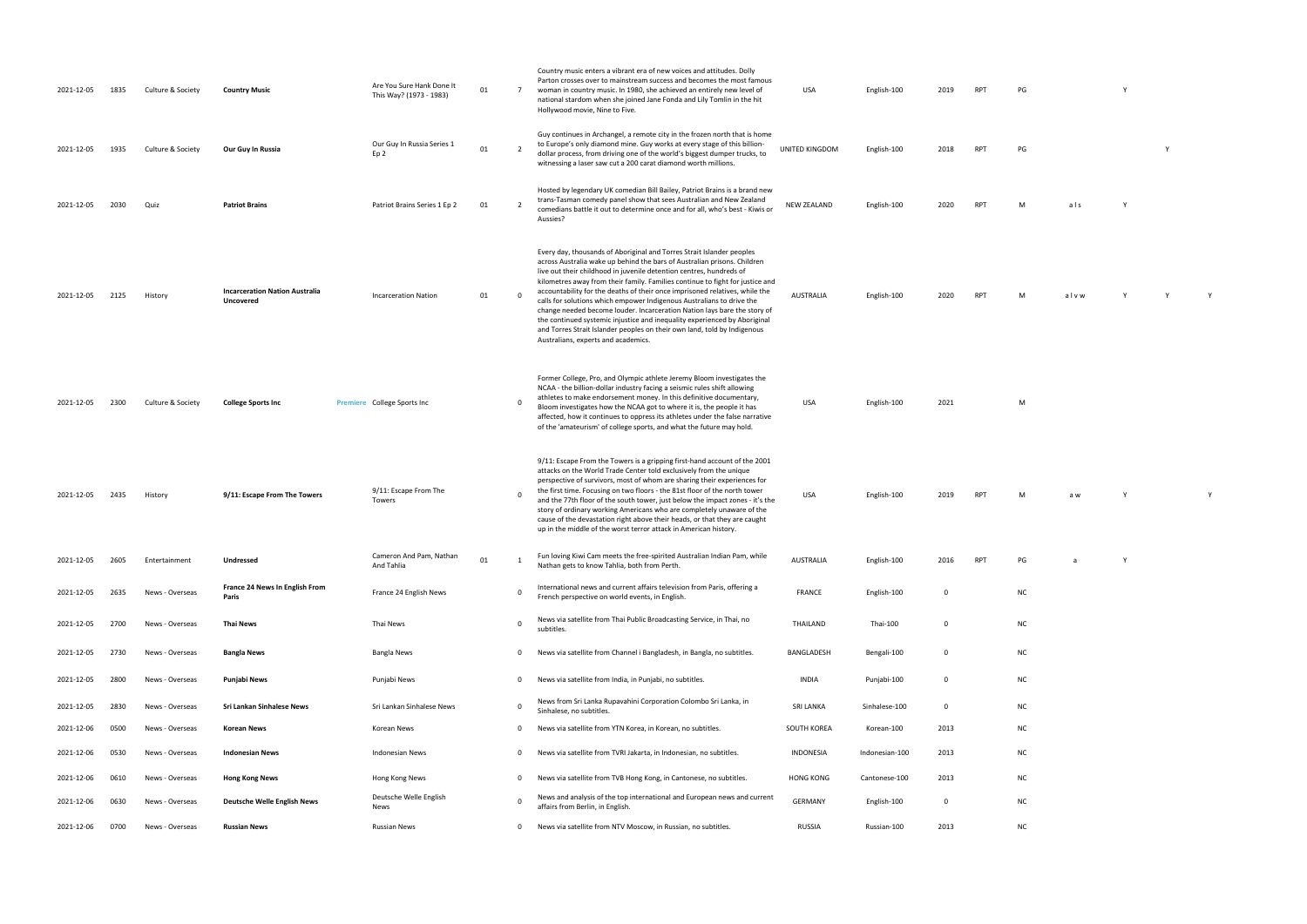| 2021-12-05 | 1835 | Culture & Society | <b>Country Music</b>                                      | Are You Sure Hank Done It<br>This Way? (1973 - 1983) | 01 | $\overline{7}$ | Country music enters a vibrant era of new voices and attitudes. Dolly<br>Parton crosses over to mainstream success and becomes the most famous<br>woman in country music. In 1980, she achieved an entirely new level of<br>national stardom when she joined Jane Fonda and Lily Tomlin in the hit<br>Hollywood movie, Nine to Five.                                                                                                                                                                                                                                                                                                                                                                                                          | USA                | English-100    | 2019 | <b>RPT</b> | PG |      |   |  |
|------------|------|-------------------|-----------------------------------------------------------|------------------------------------------------------|----|----------------|-----------------------------------------------------------------------------------------------------------------------------------------------------------------------------------------------------------------------------------------------------------------------------------------------------------------------------------------------------------------------------------------------------------------------------------------------------------------------------------------------------------------------------------------------------------------------------------------------------------------------------------------------------------------------------------------------------------------------------------------------|--------------------|----------------|------|------------|----|------|---|--|
| 2021-12-05 | 1935 | Culture & Society | Our Guy In Russia                                         | Our Guy In Russia Series 1<br>Ep <sub>2</sub>        | 01 | - 2            | Guy continues in Archangel, a remote city in the frozen north that is home<br>to Europe's only diamond mine. Guy works at every stage of this billion-<br>dollar process, from driving one of the world's biggest dumper trucks, to<br>witnessing a laser saw cut a 200 carat diamond worth millions.                                                                                                                                                                                                                                                                                                                                                                                                                                         | UNITED KINGDOM     | English-100    | 2018 | <b>RPT</b> | PG |      |   |  |
| 2021-12-05 | 2030 | Quiz              | <b>Patriot Brains</b>                                     | Patriot Brains Series 1 Ep 2                         | 01 | $\overline{2}$ | Hosted by legendary UK comedian Bill Bailey, Patriot Brains is a brand new<br>trans-Tasman comedy panel show that sees Australian and New Zealand<br>comedians battle it out to determine once and for all, who's best - Kiwis or<br>Aussies?                                                                                                                                                                                                                                                                                                                                                                                                                                                                                                 | <b>NEW ZEALAND</b> | English-100    | 2020 | <b>RPT</b> | M  | als  |   |  |
| 2021-12-05 | 2125 | History           | <b>Incarceration Nation Australia</b><br><b>Uncovered</b> | <b>Incarceration Nation</b>                          | 01 |                | Every day, thousands of Aboriginal and Torres Strait Islander peoples<br>across Australia wake up behind the bars of Australian prisons. Children<br>live out their childhood in juvenile detention centres, hundreds of<br>kilometres away from their family. Families continue to fight for justice and<br>accountability for the deaths of their once imprisoned relatives, while the<br>calls for solutions which empower Indigenous Australians to drive the<br>change needed become louder. Incarceration Nation lays bare the story of<br>the continued systemic injustice and inequality experienced by Aboriginal<br>and Torres Strait Islander peoples on their own land, told by Indigenous<br>Australians, experts and academics. | AUSTRALIA          | English-100    | 2020 | <b>RPT</b> | M  | alvw |   |  |
| 2021-12-05 | 2300 | Culture & Society | <b>College Sports Inc</b>                                 | Premiere College Sports Inc                          |    | 0              | Former College, Pro, and Olympic athlete Jeremy Bloom investigates the<br>NCAA - the billion-dollar industry facing a seismic rules shift allowing<br>athletes to make endorsement money. In this definitive documentary,<br>Bloom investigates how the NCAA got to where it is, the people it has<br>affected, how it continues to oppress its athletes under the false narrative<br>of the 'amateurism' of college sports, and what the future may hold.                                                                                                                                                                                                                                                                                    | USA                | English-100    | 2021 |            | M  |      |   |  |
| 2021-12-05 | 2435 | History           | 9/11: Escape From The Towers                              | 9/11: Escape From The<br>Towers                      |    |                | 9/11: Escape From the Towers is a gripping first-hand account of the 2001<br>attacks on the World Trade Center told exclusively from the unique<br>perspective of survivors, most of whom are sharing their experiences for<br>the first time. Focusing on two floors - the 81st floor of the north tower<br>and the 77th floor of the south tower, just below the impact zones - it's the<br>story of ordinary working Americans who are completely unaware of the<br>cause of the devastation right above their heads, or that they are caught<br>up in the middle of the worst terror attack in American history.                                                                                                                          | USA                | English-100    | 2019 | <b>RPT</b> |    | a w  |   |  |
| 2021-12-05 | 2605 | Entertainment     | Undressed                                                 | Cameron And Pam, Nathan<br>And Tahlia                | 01 | -1             | Fun loving Kiwi Cam meets the free-spirited Australian Indian Pam, while<br>Nathan gets to know Tahlia, both from Perth.                                                                                                                                                                                                                                                                                                                                                                                                                                                                                                                                                                                                                      | <b>AUSTRALIA</b>   | English-100    | 2016 | <b>RPT</b> | PG | a    | Y |  |
| 2021-12-05 | 2635 | News - Overseas   | France 24 News In English From<br>Paris                   | France 24 English News                               |    |                | International news and current affairs television from Paris, offering a<br>French perspective on world events, in English.                                                                                                                                                                                                                                                                                                                                                                                                                                                                                                                                                                                                                   | <b>FRANCE</b>      | English-100    | 0    |            | NC |      |   |  |
| 2021-12-05 | 2700 | News - Overseas   | <b>Thai News</b>                                          | Thai News                                            |    | - 0            | News via satellite from Thai Public Broadcasting Service, in Thai, no<br>subtitles.                                                                                                                                                                                                                                                                                                                                                                                                                                                                                                                                                                                                                                                           | THAILAND           | Thai-100       | 0    |            | NC |      |   |  |
| 2021-12-05 | 2730 | News - Overseas   | Bangla News                                               | <b>Bangla News</b>                                   |    | 0              | News via satellite from Channel i Bangladesh, in Bangla, no subtitles.                                                                                                                                                                                                                                                                                                                                                                                                                                                                                                                                                                                                                                                                        | BANGLADESH         | Bengali-100    | 0    |            | NC |      |   |  |
| 2021-12-05 | 2800 | News - Overseas   | Punjabi News                                              | Punjabi News                                         |    | $^{\circ}$     | News via satellite from India, in Punjabi, no subtitles.                                                                                                                                                                                                                                                                                                                                                                                                                                                                                                                                                                                                                                                                                      | <b>INDIA</b>       | Punjabi-100    | 0    |            | NC |      |   |  |
| 2021-12-05 | 2830 | News - Overseas   | Sri Lankan Sinhalese News                                 | Sri Lankan Sinhalese News                            |    | 0              | News from Sri Lanka Rupavahini Corporation Colombo Sri Lanka, in<br>Sinhalese, no subtitles.                                                                                                                                                                                                                                                                                                                                                                                                                                                                                                                                                                                                                                                  | SRI LANKA          | Sinhalese-100  | 0    |            | NC |      |   |  |
| 2021-12-06 | 0500 | News - Overseas   | <b>Korean News</b>                                        | Korean News                                          |    | 0              | News via satellite from YTN Korea, in Korean, no subtitles.                                                                                                                                                                                                                                                                                                                                                                                                                                                                                                                                                                                                                                                                                   | SOUTH KOREA        | Korean-100     | 2013 |            | NC |      |   |  |
| 2021-12-06 | 0530 | News - Overseas   | <b>Indonesian News</b>                                    | <b>Indonesian News</b>                               |    | 0              | News via satellite from TVRI Jakarta, in Indonesian, no subtitles.                                                                                                                                                                                                                                                                                                                                                                                                                                                                                                                                                                                                                                                                            | INDONESIA          | Indonesian-100 | 2013 |            | NC |      |   |  |
| 2021-12-06 | 0610 | News - Overseas   | <b>Hong Kong News</b>                                     | Hong Kong News                                       |    | $^{\circ}$     | News via satellite from TVB Hong Kong, in Cantonese, no subtitles.                                                                                                                                                                                                                                                                                                                                                                                                                                                                                                                                                                                                                                                                            | <b>HONG KONG</b>   | Cantonese-100  | 2013 |            | NC |      |   |  |
| 2021-12-06 | 0630 | News - Overseas   | <b>Deutsche Welle English News</b>                        | Deutsche Welle English<br>News                       |    |                | News and analysis of the top international and European news and current<br>affairs from Berlin, in English.                                                                                                                                                                                                                                                                                                                                                                                                                                                                                                                                                                                                                                  | GERMANY            | English-100    | 0    |            | NC |      |   |  |
| 2021-12-06 | 0700 | News - Overseas   | <b>Russian News</b>                                       | <b>Russian News</b>                                  |    | 0              | News via satellite from NTV Moscow, in Russian, no subtitles.                                                                                                                                                                                                                                                                                                                                                                                                                                                                                                                                                                                                                                                                                 | RUSSIA             | Russian-100    | 2013 |            | NC |      |   |  |

| PG | Y |
|----|---|
|    |   |

| PG | Υ |
|----|---|
|    |   |

| M | als | γ |
|---|-----|---|
|   |     |   |
|   |     |   |

| M | alvw | $\mathbf{v}$ | v |
|---|------|--------------|---|
|   |      |              |   |
|   |      |              |   |
|   |      |              |   |

| M |  |  |  |
|---|--|--|--|
|   |  |  |  |
|   |  |  |  |

| . | - - |  |
|---|-----|--|
|   |     |  |
|   |     |  |
|   |     |  |
|   |     |  |
|   |     |  |
|   |     |  |
|   |     |  |
|   |     |  |
|   |     |  |
|   |     |  |
|   |     |  |
|   |     |  |
|   |     |  |
|   |     |  |
|   |     |  |
|   |     |  |

| PG | a | Υ |
|----|---|---|
|    |   |   |
|    |   |   |

|     | . . |  |  |  |
|-----|-----|--|--|--|
|     |     |  |  |  |
|     |     |  |  |  |
|     |     |  |  |  |
|     |     |  |  |  |
|     |     |  |  |  |
|     |     |  |  |  |
|     |     |  |  |  |
|     |     |  |  |  |
|     |     |  |  |  |
|     |     |  |  |  |
| NC. |     |  |  |  |
|     |     |  |  |  |

| NC |  |  |  |
|----|--|--|--|
|    |  |  |  |

| NC |  |  |  |
|----|--|--|--|
|    |  |  |  |
| NC |  |  |  |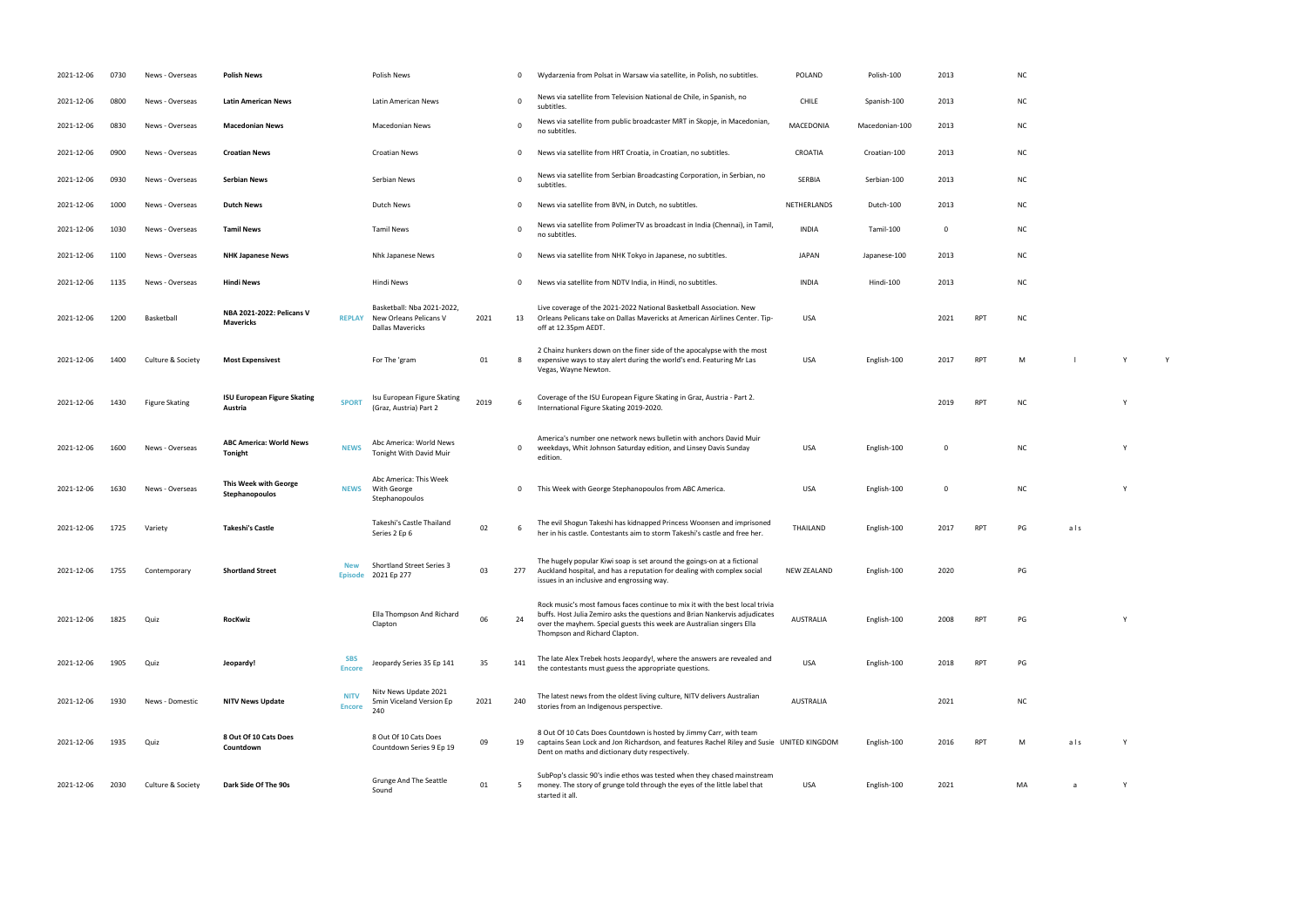| 2021-12-06 | 0730 | News - Overseas       | <b>Polish News</b>                            |                              | <b>Polish News</b>                                                              |      | 0        | Wydarzenia from Polsat in Warsaw via satellite, in Polish, no subtitles.                                                                                                                                                                                              | <b>POLAND</b>      | Polish-100     | 2013        |            | N0             |
|------------|------|-----------------------|-----------------------------------------------|------------------------------|---------------------------------------------------------------------------------|------|----------|-----------------------------------------------------------------------------------------------------------------------------------------------------------------------------------------------------------------------------------------------------------------------|--------------------|----------------|-------------|------------|----------------|
| 2021-12-06 | 0800 | News - Overseas       | <b>Latin American News</b>                    |                              | Latin American News                                                             |      | $\Omega$ | News via satellite from Television National de Chile, in Spanish, no<br>subtitles.                                                                                                                                                                                    | <b>CHILE</b>       | Spanish-100    | 2013        |            | N0             |
| 2021-12-06 | 0830 | News - Overseas       | <b>Macedonian News</b>                        |                              | <b>Macedonian News</b>                                                          |      | $\Omega$ | News via satellite from public broadcaster MRT in Skopje, in Macedonian,<br>no subtitles.                                                                                                                                                                             | MACEDONIA          | Macedonian-100 | 2013        |            | N0             |
| 2021-12-06 | 0900 | News - Overseas       | <b>Croatian News</b>                          |                              | <b>Croatian News</b>                                                            |      | 0        | News via satellite from HRT Croatia, in Croatian, no subtitles.                                                                                                                                                                                                       | CROATIA            | Croatian-100   | 2013        |            | NO             |
| 2021-12-06 | 0930 | News - Overseas       | <b>Serbian News</b>                           |                              | Serbian News                                                                    |      | $\Omega$ | News via satellite from Serbian Broadcasting Corporation, in Serbian, no<br>subtitles.                                                                                                                                                                                | SERBIA             | Serbian-100    | 2013        |            | N0             |
| 2021-12-06 | 1000 | News - Overseas       | <b>Dutch News</b>                             |                              | Dutch News                                                                      |      | $\Omega$ | News via satellite from BVN, in Dutch, no subtitles.                                                                                                                                                                                                                  | NETHERLANDS        | Dutch-100      | 2013        |            | N0             |
| 2021-12-06 | 1030 | News - Overseas       | <b>Tamil News</b>                             |                              | <b>Tamil News</b>                                                               |      | $\Omega$ | News via satellite from PolimerTV as broadcast in India (Chennai), in Tamil,<br>no subtitles.                                                                                                                                                                         | <b>INDIA</b>       | Tamil-100      | $\mathbf 0$ |            | N0             |
| 2021-12-06 | 1100 | News - Overseas       | <b>NHK Japanese News</b>                      |                              | Nhk Japanese News                                                               |      | 0        | News via satellite from NHK Tokyo in Japanese, no subtitles.                                                                                                                                                                                                          | <b>JAPAN</b>       | Japanese-100   | 2013        |            | N <sub>C</sub> |
| 2021-12-06 | 1135 | News - Overseas       | <b>Hindi News</b>                             |                              | Hindi News                                                                      |      | 0        | News via satellite from NDTV India, in Hindi, no subtitles.                                                                                                                                                                                                           | <b>INDIA</b>       | Hindi-100      | 2013        |            | N <sub>C</sub> |
| 2021-12-06 | 1200 | Basketball            | NBA 2021-2022: Pelicans V<br><b>Mavericks</b> | <b>REPLAY</b>                | Basketball: Nba 2021-2022,<br>New Orleans Pelicans V<br><b>Dallas Mavericks</b> | 2021 | 13       | Live coverage of the 2021-2022 National Basketball Association. New<br>Orleans Pelicans take on Dallas Mavericks at American Airlines Center. Tip-<br>off at 12.35pm AEDT.                                                                                            | <b>USA</b>         |                | 2021        | <b>RPT</b> | N0             |
| 2021-12-06 | 1400 | Culture & Society     | <b>Most Expensivest</b>                       |                              | For The 'gram                                                                   | 01   | -8       | 2 Chainz hunkers down on the finer side of the apocalypse with the most<br>expensive ways to stay alert during the world's end. Featuring Mr Las<br>Vegas, Wayne Newton.                                                                                              | <b>USA</b>         | English-100    | 2017        | <b>RPT</b> | M              |
| 2021-12-06 | 1430 | <b>Figure Skating</b> | <b>ISU European Figure Skating</b><br>Austria | <b>SPORT</b>                 | Isu European Figure Skating<br>(Graz, Austria) Part 2                           | 2019 |          | Coverage of the ISU European Figure Skating in Graz, Austria - Part 2.<br>International Figure Skating 2019-2020.                                                                                                                                                     |                    |                | 2019        | <b>RPT</b> | N0             |
| 2021-12-06 | 1600 | News - Overseas       | <b>ABC America: World News</b><br>Tonight     | <b>NEWS</b>                  | Abc America: World News<br>Tonight With David Muir                              |      | 0        | America's number one network news bulletin with anchors David Muir<br>weekdays, Whit Johnson Saturday edition, and Linsey Davis Sunday<br>edition.                                                                                                                    | <b>USA</b>         | English-100    | $\mathbf 0$ |            |                |
| 2021-12-06 | 1630 | News - Overseas       | This Week with George<br>Stephanopoulos       | <b>NEWS</b>                  | Abc America: This Week<br>With George<br>Stephanopoulos                         |      | 0        | This Week with George Stephanopoulos from ABC America.                                                                                                                                                                                                                | <b>USA</b>         | English-100    | $\mathbf 0$ |            | N              |
| 2021-12-06 | 1725 | Variety               | <b>Takeshi's Castle</b>                       |                              | Takeshi's Castle Thailand<br>Series 2 Ep 6                                      | 02   | -6       | The evil Shogun Takeshi has kidnapped Princess Woonsen and imprisoned<br>her in his castle. Contestants aim to storm Takeshi's castle and free her.                                                                                                                   | THAILAND           | English-100    | 2017        | <b>RPT</b> | PG             |
| 2021-12-06 | 1755 | Contemporary          | <b>Shortland Street</b>                       | <b>New</b><br><b>Episode</b> | <b>Shortland Street Series 3</b><br>2021 Ep 277                                 | 03   | 277      | The hugely popular Kiwi soap is set around the goings-on at a fictional<br>Auckland hospital, and has a reputation for dealing with complex social<br>issues in an inclusive and engrossing way.                                                                      | <b>NEW ZEALAND</b> | English-100    | 2020        |            | PG             |
| 2021-12-06 | 1825 | Quiz                  | RocKwiz                                       |                              | Ella Thompson And Richard<br>Clapton                                            | 06   | 24       | Rock music's most famous faces continue to mix it with the best local trivia<br>buffs. Host Julia Zemiro asks the questions and Brian Nankervis adjudicates<br>over the mayhem. Special guests this week are Australian singers Ella<br>Thompson and Richard Clapton. | <b>AUSTRALIA</b>   | English-100    | 2008        | <b>RPT</b> | PG             |
| 2021-12-06 | 1905 | Quiz                  | Jeopardy!                                     | <b>SBS</b><br><b>Encore</b>  | Jeopardy Series 35 Ep 141                                                       | 35   | 141      | The late Alex Trebek hosts Jeopardy!, where the answers are revealed and<br>the contestants must guess the appropriate questions.                                                                                                                                     | <b>USA</b>         | English-100    | 2018        | <b>RPT</b> | PG             |
| 2021-12-06 | 1930 | News - Domestic       | <b>NITV News Update</b>                       | <b>NITV</b><br><b>Encore</b> | Nitv News Update 2021<br>5min Viceland Version Ep<br>240                        | 2021 | 240      | The latest news from the oldest living culture, NITV delivers Australian<br>stories from an Indigenous perspective.                                                                                                                                                   | <b>AUSTRALIA</b>   |                | 2021        |            | N0             |
| 2021-12-06 | 1935 | Quiz                  | 8 Out Of 10 Cats Does<br>Countdown            |                              | 8 Out Of 10 Cats Does<br>Countdown Series 9 Ep 19                               | 09   | 19       | 8 Out Of 10 Cats Does Countdown is hosted by Jimmy Carr, with team<br>captains Sean Lock and Jon Richardson, and features Rachel Riley and Susie UNITED KINGDOM<br>Dent on maths and dictionary duty respectively.                                                    |                    | English-100    | 2016        | <b>RPT</b> | M              |
| 2021-12-06 | 2030 | Culture & Society     | Dark Side Of The 90s                          |                              | Grunge And The Seattle<br>Sound                                                 | 01   | -5       | SubPop's classic 90's indie ethos was tested when they chased mainstream<br>money. The story of grunge told through the eyes of the little label that<br>started it all.                                                                                              | USA                | English-100    | 2021        |            | MA             |

- 
- 
- 
- 
- 
- 
- RPT NC
- RPT M l Y Y Y
- International Figure Skating 2019-2020. <sup>2019</sup> RPT NC <sup>Y</sup>
- NC Y
- 0 This Week with George Stephanopoulos from ABC America. USA English-100 0 NC Y
- her in his castle. Contestants and free her. The storm Takeshi and free her. The storm Takeshi and free her. T<br>The storm Takeshi and free her. The storm Takeshi and for the storm Takeshi and for the storm Takeshi and for<br>T
- $PG$
- RPT PG Y
- the contestants must guess the appropriate questions. USA English-100 2018 RPT PG
- stories from an Indigenous perspective. AUSTRALIA <sup>2021</sup> NC
- RPT M als Y
- USA English-100 2021 V 2022<br>- The Manus Constant Constant Constant Constant Constant Constant Constant Constant Constant Constant Constant<br>- The Manus Constant Constant Constant Constant Constant Constant Constant Constant
- 
- 
- 
- 
- 
- 
- -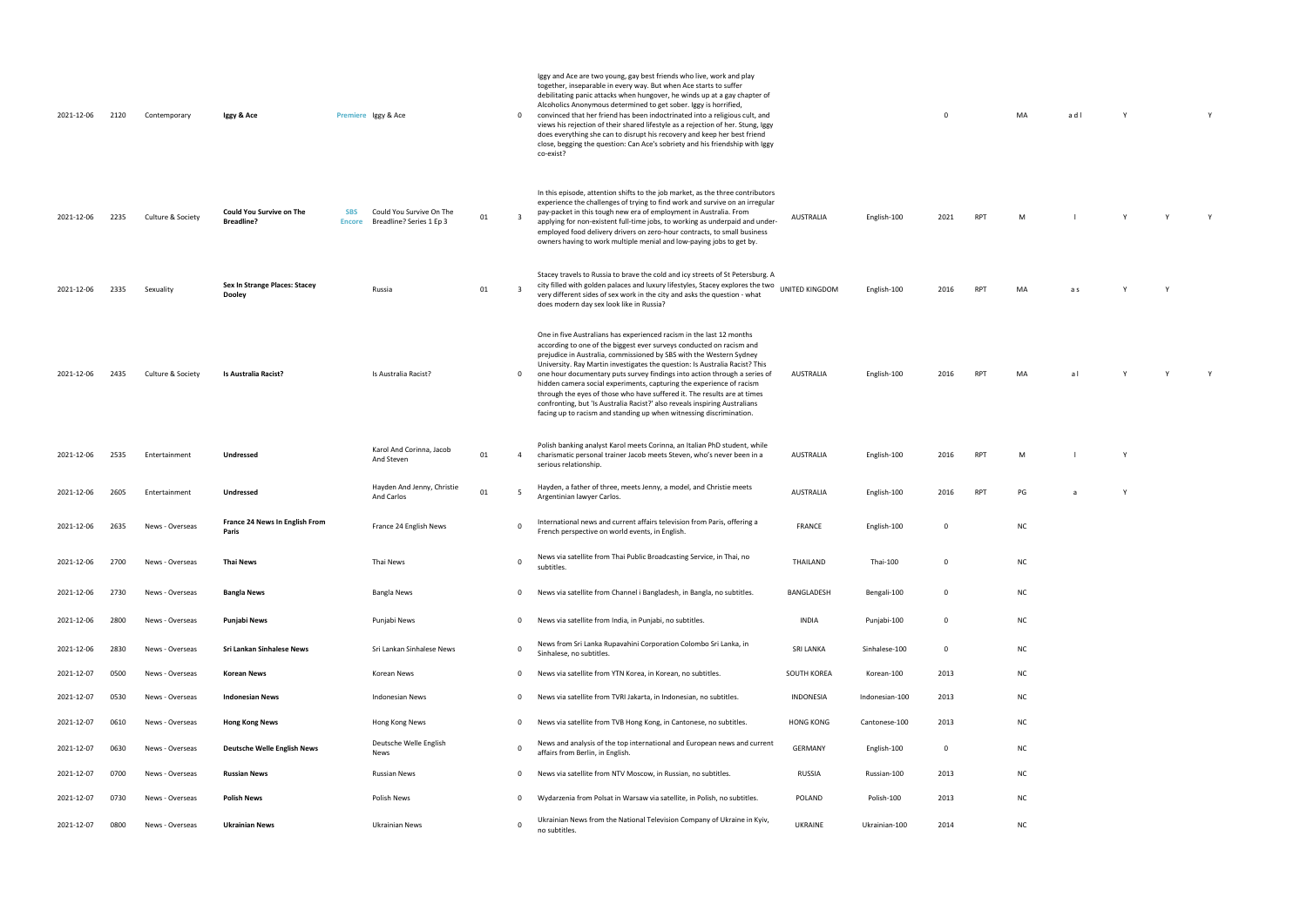| 0          |            | MA             | a d l                                                                  | Y            |              | $\mathsf Y$  |  |
|------------|------------|----------------|------------------------------------------------------------------------|--------------|--------------|--------------|--|
|            |            |                |                                                                        |              |              |              |  |
|            |            |                |                                                                        |              |              |              |  |
|            |            |                |                                                                        |              |              |              |  |
| 21         | RPT        | M <sub>1</sub> | $\begin{array}{ccccccccccccccccc}\n1 & 1 & 1 & 1 & 1 & 1\n\end{array}$ |              |              | $\mathsf{Y}$ |  |
|            |            |                |                                                                        |              |              |              |  |
|            |            |                |                                                                        |              |              |              |  |
| )16        | RPT        | $\sf MA$       | a s                                                                    | $\mathsf Y$  | $\mathsf Y$  |              |  |
|            |            |                |                                                                        |              |              |              |  |
|            |            |                |                                                                        |              |              |              |  |
| )16        |            | RPT MA         | $\mathsf{a}\:\mathsf{I}$                                               | Y            | $\mathsf{Y}$ | Y            |  |
|            |            |                |                                                                        |              |              |              |  |
|            |            |                |                                                                        |              |              |              |  |
| 016        | RPT        | $\mathsf{M}$   | $\perp$                                                                | $\mathsf Y$  |              |              |  |
| 016        | <b>RPT</b> | $\mathsf{PG}$  | $\mathsf{a}$                                                           | $\mathsf{Y}$ |              |              |  |
| 0          |            | ${\sf NC}$     |                                                                        |              |              |              |  |
|            |            |                |                                                                        |              |              |              |  |
| 0          |            | ${\sf NC}$     |                                                                        |              |              |              |  |
| 0          |            | ${\sf NC}$     |                                                                        |              |              |              |  |
| 0          |            | NC             |                                                                        |              |              |              |  |
| 0          |            | $\sf NC$       |                                                                        |              |              |              |  |
| )13        |            | ${\sf NC}$     |                                                                        |              |              |              |  |
| )13<br>)13 |            | NC<br>NC       |                                                                        |              |              |              |  |
|            |            |                |                                                                        |              |              |              |  |

- 
- 
- 
- 

| 2021-12-06 | 2120 | Contemporary      | Iggy & Ace                                           | Premiere Iggy & Ace                                                                 |    | 0            | Iggy and Ace are two young, gay best friends who live, work and play<br>together, inseparable in every way. But when Ace starts to suffer<br>debilitating panic attacks when hungover, he winds up at a gay chapter of<br>Alcoholics Anonymous determined to get sober. Iggy is horrified,<br>convinced that her friend has been indoctrinated into a religious cult, and<br>views his rejection of their shared lifestyle as a rejection of her. Stung, Iggy<br>does everything she can to disrupt his recovery and keep her best friend<br>close, begging the question: Can Ace's sobriety and his friendship with Iggy<br>co-exist?                                                   |                  |                 | $\Omega$ |            | MA        | adl |
|------------|------|-------------------|------------------------------------------------------|-------------------------------------------------------------------------------------|----|--------------|------------------------------------------------------------------------------------------------------------------------------------------------------------------------------------------------------------------------------------------------------------------------------------------------------------------------------------------------------------------------------------------------------------------------------------------------------------------------------------------------------------------------------------------------------------------------------------------------------------------------------------------------------------------------------------------|------------------|-----------------|----------|------------|-----------|-----|
| 2021-12-06 | 2235 | Culture & Society | <b>Could You Survive on The</b><br><b>Breadline?</b> | <b>SBS</b><br>Could You Survive On The<br>Breadline? Series 1 Ep 3<br><b>Encore</b> | 01 | $\mathbf{a}$ | In this episode, attention shifts to the job market, as the three contributors<br>experience the challenges of trying to find work and survive on an irregular<br>pay-packet in this tough new era of employment in Australia. From<br>applying for non-existent full-time jobs, to working as underpaid and under-<br>employed food delivery drivers on zero-hour contracts, to small business<br>owners having to work multiple menial and low-paying jobs to get by.                                                                                                                                                                                                                  | AUSTRALIA        | English-100     | 2021     | <b>RPT</b> | M         |     |
| 2021-12-06 | 2335 | Sexuality         | Sex In Strange Places: Stacey<br><b>Dooley</b>       | Russia                                                                              | 01 |              | Stacey travels to Russia to brave the cold and icy streets of St Petersburg. A<br>city filled with golden palaces and luxury lifestyles, Stacey explores the two<br>very different sides of sex work in the city and asks the question - what<br>does modern day sex look like in Russia?                                                                                                                                                                                                                                                                                                                                                                                                | UNITED KINGDOM   | English-100     | 2016     | <b>RPT</b> | MA        | a s |
| 2021-12-06 | 2435 | Culture & Society | Is Australia Racist?                                 | Is Australia Racist?                                                                |    | 0            | One in five Australians has experienced racism in the last 12 months<br>according to one of the biggest ever surveys conducted on racism and<br>prejudice in Australia, commissioned by SBS with the Western Sydney<br>University. Ray Martin investigates the question: Is Australia Racist? This<br>one hour documentary puts survey findings into action through a series of<br>hidden camera social experiments, capturing the experience of racism<br>through the eyes of those who have suffered it. The results are at times<br>confronting, but 'Is Australia Racist?' also reveals inspiring Australians<br>facing up to racism and standing up when witnessing discrimination. | AUSTRALIA        | English-100     | 2016     | <b>RPT</b> | MA        | al  |
| 2021-12-06 | 2535 | Entertainment     | Undressed                                            | Karol And Corinna, Jacob<br>And Steven                                              | 01 | 4            | Polish banking analyst Karol meets Corinna, an Italian PhD student, while<br>charismatic personal trainer Jacob meets Steven, who's never been in a<br>serious relationship.                                                                                                                                                                                                                                                                                                                                                                                                                                                                                                             | AUSTRALIA        | English-100     | 2016     | <b>RPT</b> | M         |     |
| 2021-12-06 | 2605 | Entertainment     | Undressed                                            | Hayden And Jenny, Christie<br>And Carlos                                            | 01 | 5            | Hayden, a father of three, meets Jenny, a model, and Christie meets<br>Argentinian lawyer Carlos.                                                                                                                                                                                                                                                                                                                                                                                                                                                                                                                                                                                        | AUSTRALIA        | English-100     | 2016     | <b>RPT</b> | PG        | a   |
| 2021-12-06 | 2635 | News - Overseas   | France 24 News In English From<br>Paris              | France 24 English News                                                              |    |              | International news and current affairs television from Paris, offering a<br>French perspective on world events, in English.                                                                                                                                                                                                                                                                                                                                                                                                                                                                                                                                                              | <b>FRANCE</b>    | English-100     | 0        |            | NC        |     |
| 2021-12-06 | 2700 | News - Overseas   | Thai News                                            | Thai News                                                                           |    |              | News via satellite from Thai Public Broadcasting Service, in Thai, no<br>subtitles.                                                                                                                                                                                                                                                                                                                                                                                                                                                                                                                                                                                                      | THAILAND         | <b>Thai-100</b> | 0        |            | ΝC        |     |
| 2021-12-06 | 2730 | News - Overseas   | <b>Bangla News</b>                                   | <b>Bangla News</b>                                                                  |    | 0            | News via satellite from Channel i Bangladesh, in Bangla, no subtitles.                                                                                                                                                                                                                                                                                                                                                                                                                                                                                                                                                                                                                   | BANGLADESH       | Bengali-100     | 0        |            | NC        |     |
| 2021-12-06 | 2800 | News - Overseas   | Punjabi News                                         | Punjabi News                                                                        |    | $\mathbf{0}$ | News via satellite from India, in Punjabi, no subtitles.                                                                                                                                                                                                                                                                                                                                                                                                                                                                                                                                                                                                                                 | <b>INDIA</b>     | Punjabi-100     | 0        |            | <b>NC</b> |     |
| 2021-12-06 | 2830 | News - Overseas   | Sri Lankan Sinhalese News                            | Sri Lankan Sinhalese News                                                           |    | 0            | News from Sri Lanka Rupavahini Corporation Colombo Sri Lanka, in<br>Sinhalese, no subtitles.                                                                                                                                                                                                                                                                                                                                                                                                                                                                                                                                                                                             | <b>SRI LANKA</b> | Sinhalese-100   | 0        |            | NC        |     |
| 2021-12-07 | 0500 | News - Overseas   | <b>Korean News</b>                                   | Korean News                                                                         |    | $\mathbf{0}$ | News via satellite from YTN Korea, in Korean, no subtitles.                                                                                                                                                                                                                                                                                                                                                                                                                                                                                                                                                                                                                              | SOUTH KOREA      | Korean-100      | 2013     |            | ΝC        |     |
| 2021-12-07 | 0530 | News - Overseas   | <b>Indonesian News</b>                               | <b>Indonesian News</b>                                                              |    | $\mathbf{0}$ | News via satellite from TVRI Jakarta, in Indonesian, no subtitles.                                                                                                                                                                                                                                                                                                                                                                                                                                                                                                                                                                                                                       | INDONESIA        | Indonesian-100  | 2013     |            | <b>NC</b> |     |
| 2021-12-07 | 0610 | News - Overseas   | <b>Hong Kong News</b>                                | Hong Kong News                                                                      |    | $\mathbf{0}$ | News via satellite from TVB Hong Kong, in Cantonese, no subtitles.                                                                                                                                                                                                                                                                                                                                                                                                                                                                                                                                                                                                                       | <b>HONG KONG</b> | Cantonese-100   | 2013     |            | NC        |     |
| 2021-12-07 | 0630 | News - Overseas   | Deutsche Welle English News                          | Deutsche Welle English<br>News                                                      |    | 0            | News and analysis of the top international and European news and current<br>affairs from Berlin, in English.                                                                                                                                                                                                                                                                                                                                                                                                                                                                                                                                                                             | <b>GERMANY</b>   | English-100     | 0        |            | <b>NC</b> |     |
| 2021-12-07 | 0700 | News - Overseas   | <b>Russian News</b>                                  | <b>Russian News</b>                                                                 |    | 0            | News via satellite from NTV Moscow, in Russian, no subtitles.                                                                                                                                                                                                                                                                                                                                                                                                                                                                                                                                                                                                                            | RUSSIA           | Russian-100     | 2013     |            | NC        |     |
| 2021-12-07 | 0730 | News - Overseas   | Polish News                                          | Polish News                                                                         |    | $\mathbf{0}$ | Wydarzenia from Polsat in Warsaw via satellite, in Polish, no subtitles.                                                                                                                                                                                                                                                                                                                                                                                                                                                                                                                                                                                                                 | POLAND           | Polish-100      | 2013     |            | NC        |     |
| 2021-12-07 | 0800 | News - Overseas   | <b>Ukrainian News</b>                                | <b>Ukrainian News</b>                                                               |    | 0            | Ukrainian News from the National Television Company of Ukraine in Kyiv,<br>no subtitles.                                                                                                                                                                                                                                                                                                                                                                                                                                                                                                                                                                                                 | UKRAINE          | Ukrainian-100   | 2014     |            | NC        |     |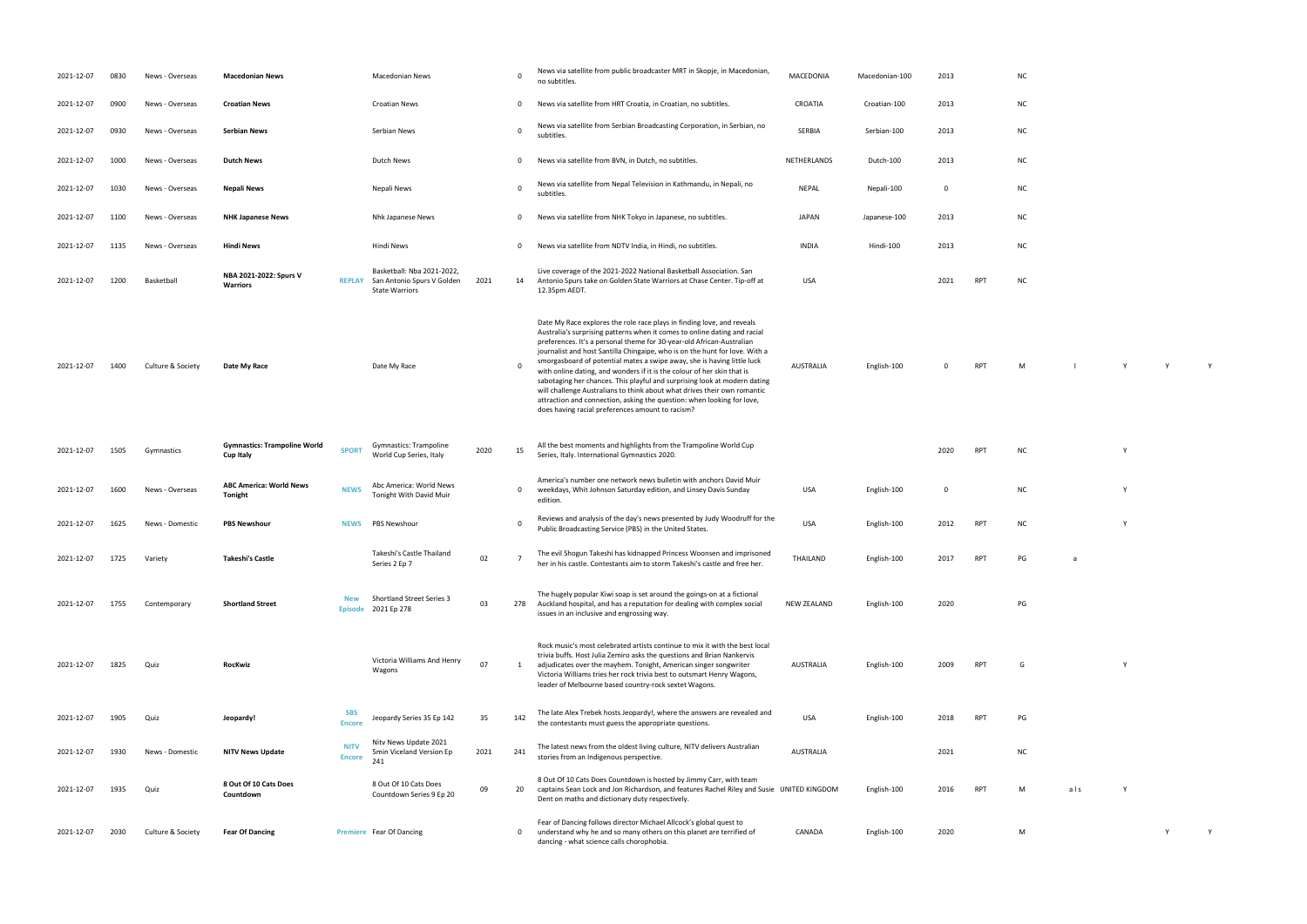| English-100 | 0 | <b>RPT</b> | M | $\mathsf{Y}$ | Y | Y |
|-------------|---|------------|---|--------------|---|---|

| <b>NC</b> | ۷ |
|-----------|---|

| ΝC |  | Υ |  |
|----|--|---|--|
|    |  |   |  |
|    |  |   |  |

| PG | a |
|----|---|
|    |   |

| PG |  |  |  |
|----|--|--|--|
|    |  |  |  |
|    |  |  |  |

| G |  |  | Υ |
|---|--|--|---|
|   |  |  |   |
|   |  |  |   |

| 2021-12-07 | 0830 | News - Overseas   | <b>Macedonian News</b>                                  |                              | <b>Macedonian News</b>                                                            |      | $\mathbf 0$ | News via satellite from public broadcaster MRT in Skopje, in Macedonian,<br>no subtitles.                                                                                                                                                                                                                                                                                                                                                                                                                                                                                                                                                                                                                                                                | MACEDONIA        | Macedonian-100 | 2013     |                 | <b>NC</b> |     |   |   |
|------------|------|-------------------|---------------------------------------------------------|------------------------------|-----------------------------------------------------------------------------------|------|-------------|----------------------------------------------------------------------------------------------------------------------------------------------------------------------------------------------------------------------------------------------------------------------------------------------------------------------------------------------------------------------------------------------------------------------------------------------------------------------------------------------------------------------------------------------------------------------------------------------------------------------------------------------------------------------------------------------------------------------------------------------------------|------------------|----------------|----------|-----------------|-----------|-----|---|---|
| 2021-12-07 | 0900 | News - Overseas   | <b>Croatian News</b>                                    |                              | <b>Croatian News</b>                                                              |      | 0           | News via satellite from HRT Croatia, in Croatian, no subtitles.                                                                                                                                                                                                                                                                                                                                                                                                                                                                                                                                                                                                                                                                                          | CROATIA          | Croatian-100   | 2013     |                 | <b>NC</b> |     |   |   |
| 2021-12-07 | 0930 | News - Overseas   | <b>Serbian News</b>                                     |                              | Serbian News                                                                      |      | $\Omega$    | News via satellite from Serbian Broadcasting Corporation, in Serbian, no<br>subtitles.                                                                                                                                                                                                                                                                                                                                                                                                                                                                                                                                                                                                                                                                   | SERBIA           | Serbian-100    | 2013     |                 | <b>NC</b> |     |   |   |
| 2021-12-07 | 1000 | News - Overseas   | <b>Dutch News</b>                                       |                              | Dutch News                                                                        |      | 0           | News via satellite from BVN, in Dutch, no subtitles.                                                                                                                                                                                                                                                                                                                                                                                                                                                                                                                                                                                                                                                                                                     | NETHERLANDS      | Dutch-100      | 2013     |                 | <b>NC</b> |     |   |   |
| 2021-12-07 | 1030 | News - Overseas   | Nepali News                                             |                              | Nepali News                                                                       |      | $\mathbf 0$ | News via satellite from Nepal Television in Kathmandu, in Nepali, no<br>subtitles.                                                                                                                                                                                                                                                                                                                                                                                                                                                                                                                                                                                                                                                                       | <b>NEPAL</b>     | Nepali-100     | - 0      |                 | <b>NC</b> |     |   |   |
| 2021-12-07 | 1100 | News - Overseas   | <b>NHK Japanese News</b>                                |                              | Nhk Japanese News                                                                 |      | 0           | News via satellite from NHK Tokyo in Japanese, no subtitles.                                                                                                                                                                                                                                                                                                                                                                                                                                                                                                                                                                                                                                                                                             | <b>JAPAN</b>     | Japanese-100   | 2013     |                 | <b>NC</b> |     |   |   |
| 2021-12-07 | 1135 | News - Overseas   | <b>Hindi News</b>                                       |                              | Hindi News                                                                        |      | 0           | News via satellite from NDTV India, in Hindi, no subtitles.                                                                                                                                                                                                                                                                                                                                                                                                                                                                                                                                                                                                                                                                                              | <b>INDIA</b>     | Hindi-100      | 2013     |                 | <b>NC</b> |     |   |   |
| 2021-12-07 | 1200 | Basketball        | NBA 2021-2022: Spurs V<br><b>Warriors</b>               | <b>REPLAY</b>                | Basketball: Nba 2021-2022,<br>San Antonio Spurs V Golden<br><b>State Warriors</b> | 2021 | 14          | Live coverage of the 2021-2022 National Basketball Association. San<br>Antonio Spurs take on Golden State Warriors at Chase Center. Tip-off at<br>12.35pm AEDT                                                                                                                                                                                                                                                                                                                                                                                                                                                                                                                                                                                           | <b>USA</b>       |                | 2021     | <b>RPT</b>      | <b>NC</b> |     |   |   |
| 2021-12-07 | 1400 | Culture & Society | Date My Race                                            |                              | Date My Race                                                                      |      | 0           | Date My Race explores the role race plays in finding love, and reveals<br>Australia's surprising patterns when it comes to online dating and racial<br>preferences. It's a personal theme for 30-year-old African-Australian<br>journalist and host Santilla Chingaipe, who is on the hunt for love. With a<br>smorgasboard of potential mates a swipe away, she is having little luck<br>with online dating, and wonders if it is the colour of her skin that is<br>sabotaging her chances. This playful and surprising look at modern dating<br>will challenge Australians to think about what drives their own romantic<br>attraction and connection, asking the question: when looking for love,<br>does having racial preferences amount to racism? | <b>AUSTRALIA</b> | English-100    |          | <b>RPT</b>      | M         |     | Y |   |
| 2021-12-07 | 1505 | Gymnastics        | <b>Gymnastics: Trampoline World</b><br><b>Cup Italy</b> | <b>SPORT</b>                 | Gymnastics: Trampoline<br>World Cup Series, Italy                                 | 2020 | 15          | All the best moments and highlights from the Trampoline World Cup<br>Series, Italy. International Gymnastics 2020.                                                                                                                                                                                                                                                                                                                                                                                                                                                                                                                                                                                                                                       |                  |                | 2020     | RPT             | <b>NC</b> |     | Y |   |
| 2021-12-07 | 1600 | News - Overseas   | <b>ABC America: World News</b><br><b>Tonight</b>        | <b>NEWS</b>                  | Abc America: World News<br>Tonight With David Muir                                |      | 0           | America's number one network news bulletin with anchors David Muir<br>weekdays, Whit Johnson Saturday edition, and Linsey Davis Sunday<br>edition.                                                                                                                                                                                                                                                                                                                                                                                                                                                                                                                                                                                                       | <b>USA</b>       | English-100    | $\Omega$ |                 | <b>NC</b> |     | Υ |   |
| 2021-12-07 | 1625 | News - Domestic   | <b>PBS Newshour</b>                                     | <b>NEWS</b>                  | <b>PBS Newshour</b>                                                               |      | 0           | Reviews and analysis of the day's news presented by Judy Woodruff for the<br>Public Broadcasting Service (PBS) in the United States.                                                                                                                                                                                                                                                                                                                                                                                                                                                                                                                                                                                                                     | <b>USA</b>       | English-100    | 2012     | RPT             | <b>NC</b> |     | Y |   |
| 2021-12-07 | 1725 | Variety           | <b>Takeshi's Castle</b>                                 |                              | Takeshi's Castle Thailand<br>Series 2 Ep 7                                        | 02   |             | The evil Shogun Takeshi has kidnapped Princess Woonsen and imprisoned<br>her in his castle. Contestants aim to storm Takeshi's castle and free her.                                                                                                                                                                                                                                                                                                                                                                                                                                                                                                                                                                                                      | THAILAND         | English-100    | 2017     | RP <sub>1</sub> | PG        | a   |   |   |
| 2021-12-07 | 1755 | Contemporary      | <b>Shortland Street</b>                                 | <b>New</b><br><b>Episode</b> | <b>Shortland Street Series 3</b><br>2021 Ep 278                                   | 03   | 278         | The hugely popular Kiwi soap is set around the goings-on at a fictional<br>Auckland hospital, and has a reputation for dealing with complex social<br>issues in an inclusive and engrossing way.                                                                                                                                                                                                                                                                                                                                                                                                                                                                                                                                                         | NEW ZEALAND      | English-100    | 2020     |                 | PG        |     |   |   |
| 2021-12-07 | 1825 | Quiz              | <b>RocKwiz</b>                                          |                              | Victoria Williams And Henry<br>Wagons                                             | 07   | 1           | Rock music's most celebrated artists continue to mix it with the best local<br>trivia buffs. Host Julia Zemiro asks the questions and Brian Nankervis<br>adjudicates over the mayhem. Tonight, American singer songwriter<br>Victoria Williams tries her rock trivia best to outsmart Henry Wagons,<br>leader of Melbourne based country-rock sextet Wagons.                                                                                                                                                                                                                                                                                                                                                                                             | <b>AUSTRALIA</b> | English-100    | 2009     | RPT             | G         |     | Y |   |
| 2021-12-07 | 1905 | Quiz              | Jeopardy!                                               | SBS<br><b>Encore</b>         | Jeopardy Series 35 Ep 142                                                         | 35   | 142         | The late Alex Trebek hosts Jeopardy!, where the answers are revealed and<br>the contestants must guess the appropriate questions.                                                                                                                                                                                                                                                                                                                                                                                                                                                                                                                                                                                                                        | <b>USA</b>       | English-100    | 2018     | <b>RPT</b>      | PG        |     |   |   |
| 2021-12-07 | 1930 | News - Domestic   | <b>NITV News Update</b>                                 | <b>NITV</b><br><b>Encore</b> | Nitv News Update 2021<br>5min Viceland Version Ep<br>241                          | 2021 | 241         | The latest news from the oldest living culture, NITV delivers Australian<br>stories from an Indigenous perspective.                                                                                                                                                                                                                                                                                                                                                                                                                                                                                                                                                                                                                                      | <b>AUSTRALIA</b> |                | 2021     |                 | <b>NC</b> |     |   |   |
| 2021-12-07 | 1935 | Quiz              | 8 Out Of 10 Cats Does<br>Countdown                      |                              | 8 Out Of 10 Cats Does<br>Countdown Series 9 Ep 20                                 | 09   | 20          | 8 Out Of 10 Cats Does Countdown is hosted by Jimmy Carr, with team<br>captains Sean Lock and Jon Richardson, and features Rachel Riley and Susie UNITED KINGDOM<br>Dent on maths and dictionary duty respectively.                                                                                                                                                                                                                                                                                                                                                                                                                                                                                                                                       |                  | English-100    | 2016     | RP1             | M         | als | Y |   |
| 2021-12-07 | 2030 | Culture & Society | <b>Fear Of Dancing</b>                                  |                              | Premiere Fear Of Dancing                                                          |      | 0           | Fear of Dancing follows director Michael Allcock's global quest to<br>understand why he and so many others on this planet are terrified of<br>dancing - what science calls chorophobia.                                                                                                                                                                                                                                                                                                                                                                                                                                                                                                                                                                  | CANADA           | English-100    | 2020     |                 | M         |     |   | Y |

| ${\sf NC}$ |  |  |  |
|------------|--|--|--|
| ${\sf NC}$ |  |  |  |
| ${\sf NC}$ |  |  |  |
| ${\sf NC}$ |  |  |  |
| ${\sf NC}$ |  |  |  |
| ${\sf NC}$ |  |  |  |

| 2018 | <b>RPT</b> | PG |
|------|------------|----|
| 2021 |            | NC |
|      |            |    |

| M | als | Y |
|---|-----|---|
|   |     |   |

| M | Y Y |  |
|---|-----|--|
|   |     |  |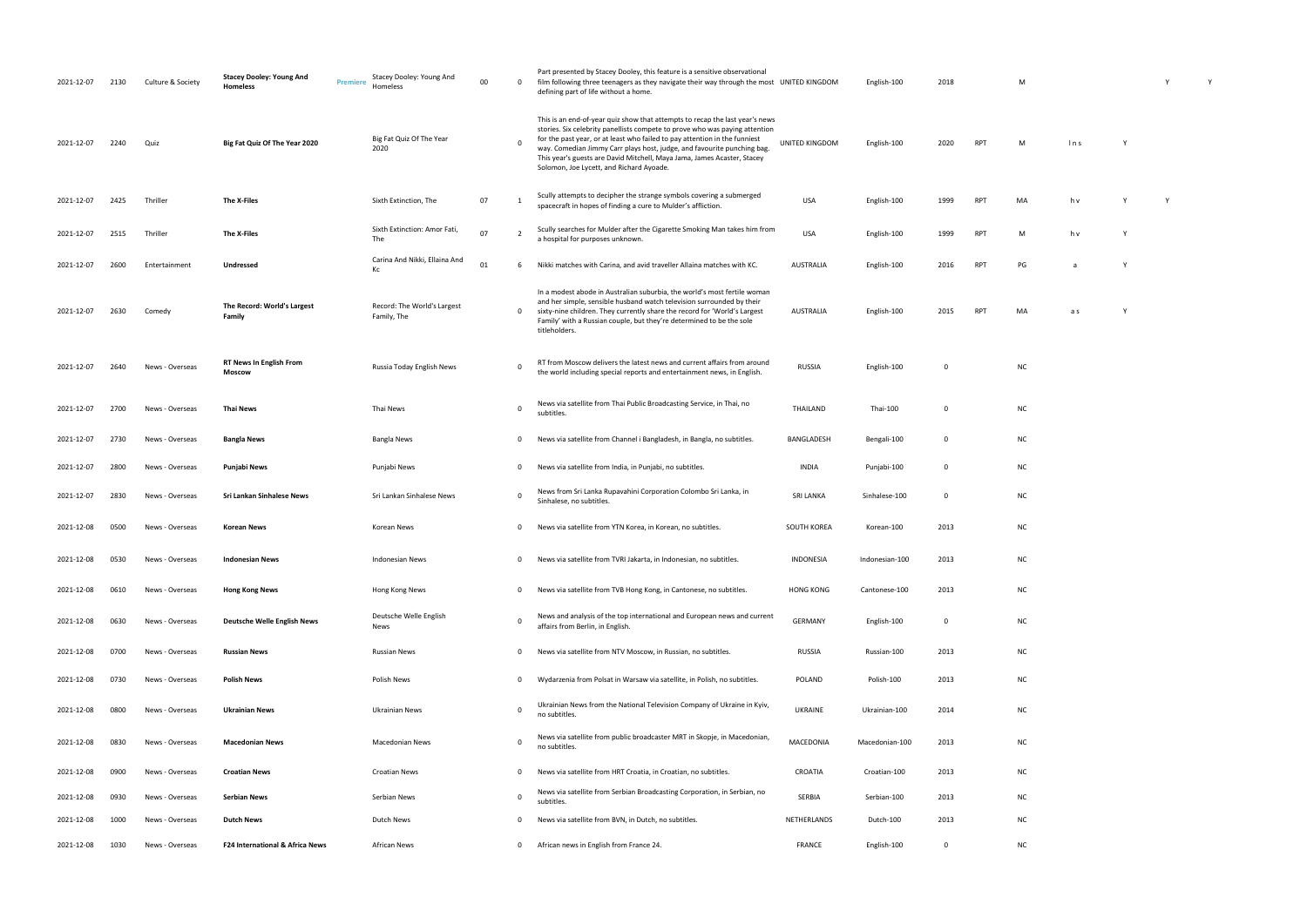| Y Y | M |  |  |  |
|-----|---|--|--|--|
|-----|---|--|--|--|

| M  | In s | Υ |   |
|----|------|---|---|
| MA | h v  | Υ | Υ |

| M  | h v | Υ |
|----|-----|---|
| PG | a   | Υ |

-100 2015 RPT MA as Y

| 2021-12-07 | 2130 | Culture & Society | <b>Stacey Dooley: Young And</b><br>Homeless | Stacey Dooley: Young And<br>Premiere<br>Homeless | 00 | $\mathbf 0$ | Part presented by Stacey Dooley, this feature is a sensitive observational<br>film following three teenagers as they navigate their way through the most UNITED KINGDOM<br>defining part of life without a home.                                                                                                                                                                                                                            |                  | English-100    | 2018        |            | M         |      |  |
|------------|------|-------------------|---------------------------------------------|--------------------------------------------------|----|-------------|---------------------------------------------------------------------------------------------------------------------------------------------------------------------------------------------------------------------------------------------------------------------------------------------------------------------------------------------------------------------------------------------------------------------------------------------|------------------|----------------|-------------|------------|-----------|------|--|
| 2021-12-07 | 2240 | Quiz              | Big Fat Quiz Of The Year 2020               | Big Fat Quiz Of The Year<br>2020                 |    | $\Omega$    | This is an end-of-year quiz show that attempts to recap the last year's news<br>stories. Six celebrity panellists compete to prove who was paying attention<br>for the past year, or at least who failed to pay attention in the funniest<br>way. Comedian Jimmy Carr plays host, judge, and favourite punching bag.<br>This year's guests are David Mitchell, Maya Jama, James Acaster, Stacey<br>Solomon, Joe Lycett, and Richard Ayoade. | UNITED KINGDOM   | English-100    | 2020        | <b>RPT</b> | M         | ln s |  |
| 2021-12-07 | 2425 | Thriller          | The X-Files                                 | Sixth Extinction, The                            | 07 | 1           | Scully attempts to decipher the strange symbols covering a submerged<br>spacecraft in hopes of finding a cure to Mulder's affliction.                                                                                                                                                                                                                                                                                                       | USA              | English-100    | 1999        | <b>RPT</b> | MA        | h v  |  |
| 2021-12-07 | 2515 | Thriller          | The X-Files                                 | Sixth Extinction: Amor Fati,<br>The              | 07 | 2           | Scully searches for Mulder after the Cigarette Smoking Man takes him from<br>a hospital for purposes unknown.                                                                                                                                                                                                                                                                                                                               | USA              | English-100    | 1999        | <b>RPT</b> | M         | h v  |  |
| 2021-12-07 | 2600 | Entertainment     | <b>Undressed</b>                            | Carina And Nikki, Ellaina And<br>Кc              | 01 | 6           | Nikki matches with Carina, and avid traveller Allaina matches with KC.                                                                                                                                                                                                                                                                                                                                                                      | AUSTRALIA        | English-100    | 2016        | <b>RPT</b> | PG        | a    |  |
| 2021-12-07 | 2630 | Comedy            | The Record: World's Largest<br>Family       | Record: The World's Largest<br>Family, The       |    | 0           | In a modest abode in Australian suburbia, the world's most fertile woman<br>and her simple, sensible husband watch television surrounded by their<br>sixty-nine children. They currently share the record for 'World's Largest<br>Family' with a Russian couple, but they're determined to be the sole<br>titleholders.                                                                                                                     | <b>AUSTRALIA</b> | English-100    | 2015        | <b>RPT</b> | MA        | a s  |  |
| 2021-12-07 | 2640 | News - Overseas   | <b>RT News In English From</b><br>Moscow    | Russia Today English News                        |    | $\mathbf 0$ | RT from Moscow delivers the latest news and current affairs from around<br>the world including special reports and entertainment news, in English.                                                                                                                                                                                                                                                                                          | <b>RUSSIA</b>    | English-100    | 0           |            | NC        |      |  |
| 2021-12-07 | 2700 | News - Overseas   | Thai News                                   | Thai News                                        |    | $\Omega$    | News via satellite from Thai Public Broadcasting Service, in Thai, no<br>subtitles.                                                                                                                                                                                                                                                                                                                                                         | THAILAND         | Thai-100       | $\Omega$    |            | NC        |      |  |
| 2021-12-07 | 2730 | News - Overseas   | <b>Bangla News</b>                          | Bangla News                                      |    | 0           | News via satellite from Channel i Bangladesh, in Bangla, no subtitles.                                                                                                                                                                                                                                                                                                                                                                      | BANGLADESH       | Bengali-100    | $\mathbf 0$ |            | NC        |      |  |
| 2021-12-07 | 2800 | News - Overseas   | Punjabi News                                | Punjabi News                                     |    | $\mathbf 0$ | News via satellite from India, in Punjabi, no subtitles.                                                                                                                                                                                                                                                                                                                                                                                    | <b>INDIA</b>     | Punjabi-100    | 0           |            | ΝC        |      |  |
| 2021-12-07 | 2830 | News - Overseas   | Sri Lankan Sinhalese News                   | Sri Lankan Sinhalese News                        |    | 0           | News from Sri Lanka Rupavahini Corporation Colombo Sri Lanka, in<br>Sinhalese, no subtitles.                                                                                                                                                                                                                                                                                                                                                | <b>SRI LANKA</b> | Sinhalese-100  | 0           |            | <b>NC</b> |      |  |
| 2021-12-08 | 0500 | News - Overseas   | <b>Korean News</b>                          | Korean News                                      |    | 0           | News via satellite from YTN Korea, in Korean, no subtitles.                                                                                                                                                                                                                                                                                                                                                                                 | SOUTH KOREA      | Korean-100     | 2013        |            | NC        |      |  |
| 2021-12-08 | 0530 | News - Overseas   | <b>Indonesian News</b>                      | Indonesian News                                  |    | 0           | News via satellite from TVRI Jakarta, in Indonesian, no subtitles.                                                                                                                                                                                                                                                                                                                                                                          | INDONESIA        | Indonesian-100 | 2013        |            | NC        |      |  |
| 2021-12-08 | 0610 | News - Overseas   | <b>Hong Kong News</b>                       | Hong Kong News                                   |    | 0           | News via satellite from TVB Hong Kong, in Cantonese, no subtitles.                                                                                                                                                                                                                                                                                                                                                                          | <b>HONG KONG</b> | Cantonese-100  | 2013        |            | NC        |      |  |
| 2021-12-08 | 0630 | News - Overseas   | <b>Deutsche Welle English News</b>          | Deutsche Welle English<br>News                   |    | $\Omega$    | News and analysis of the top international and European news and current<br>affairs from Berlin, in English.                                                                                                                                                                                                                                                                                                                                | <b>GERMANY</b>   | English-100    | 0           |            | <b>NC</b> |      |  |
| 2021-12-08 | 0700 | News - Overseas   | <b>Russian News</b>                         | <b>Russian News</b>                              |    | 0           | News via satellite from NTV Moscow, in Russian, no subtitles.                                                                                                                                                                                                                                                                                                                                                                               | <b>RUSSIA</b>    | Russian-100    | 2013        |            | <b>NC</b> |      |  |
| 2021-12-08 | 0730 | News - Overseas   | <b>Polish News</b>                          | Polish News                                      |    | $\mathbf 0$ | Wydarzenia from Polsat in Warsaw via satellite, in Polish, no subtitles.                                                                                                                                                                                                                                                                                                                                                                    | POLAND           | Polish-100     | 2013        |            | NC        |      |  |
| 2021-12-08 | 0800 | News - Overseas   | <b>Ukrainian News</b>                       | Ukrainian News                                   |    | $\mathbf 0$ | Ukrainian News from the National Television Company of Ukraine in Kyiv,<br>no subtitles.                                                                                                                                                                                                                                                                                                                                                    | <b>UKRAINE</b>   | Ukrainian-100  | 2014        |            | <b>NC</b> |      |  |
| 2021-12-08 | 0830 | News - Overseas   | <b>Macedonian News</b>                      | <b>Macedonian News</b>                           |    | $\Omega$    | News via satellite from public broadcaster MRT in Skopje, in Macedonian,<br>no subtitles.                                                                                                                                                                                                                                                                                                                                                   | MACEDONIA        | Macedonian-100 | 2013        |            | NC        |      |  |
| 2021-12-08 | 0900 | News - Overseas   | <b>Croatian News</b>                        | <b>Croatian News</b>                             |    | $\mathbf 0$ | News via satellite from HRT Croatia, in Croatian, no subtitles.                                                                                                                                                                                                                                                                                                                                                                             | CROATIA          | Croatian-100   | 2013        |            | <b>NC</b> |      |  |
| 2021-12-08 | 0930 | News - Overseas   | Serbian News                                | Serbian News                                     |    | 0           | News via satellite from Serbian Broadcasting Corporation, in Serbian, no<br>subtitles.                                                                                                                                                                                                                                                                                                                                                      | SERBIA           | Serbian-100    | 2013        |            | <b>NC</b> |      |  |
| 2021-12-08 | 1000 | News - Overseas   | <b>Dutch News</b>                           | Dutch News                                       |    | 0           | News via satellite from BVN, in Dutch, no subtitles.                                                                                                                                                                                                                                                                                                                                                                                        | NETHERLANDS      | Dutch-100      | 2013        |            | NC        |      |  |
| 2021-12-08 | 1030 | News - Overseas   | <b>F24 International &amp; Africa News</b>  | African News                                     |    | $\mathbf 0$ | African news in English from France 24.                                                                                                                                                                                                                                                                                                                                                                                                     | FRANCE           | English-100    | $\mathbf 0$ |            | NC        |      |  |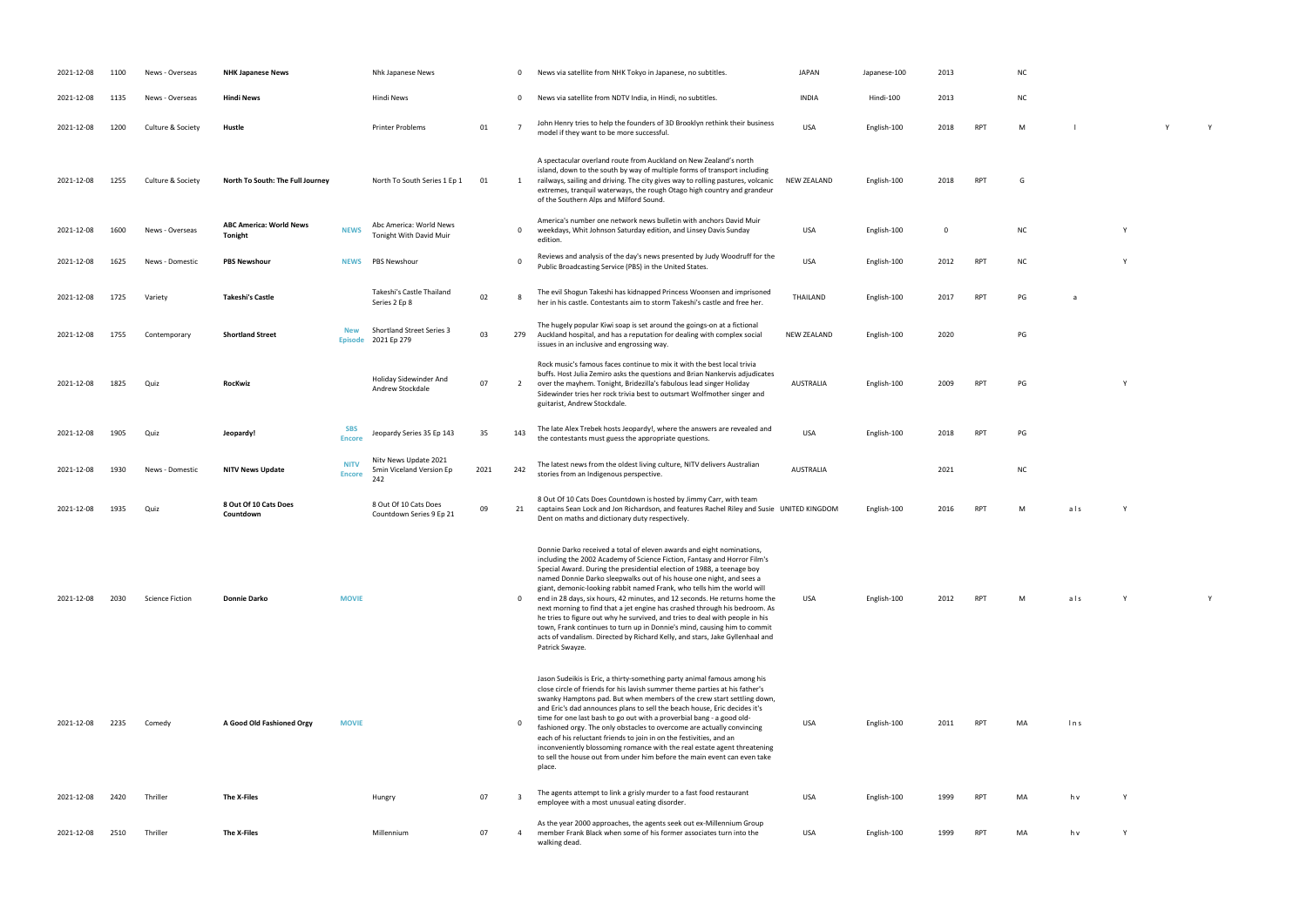| 2021-12-08 | 1100 | News - Overseas        | <b>NHK Japanese News</b>                  |                              | Nhk Japanese News                                        |      | - 0                     | News via satellite from NHK Tokyo in Japanese, no subtitles.                                                                                                                                                                                                                                                                                                                                                                                                                                                                                                                                                                                                                                                                                                                                              | <b>JAPAN</b>       | Japanese-100 | 2013        |            | <b>NC</b> |      |  |
|------------|------|------------------------|-------------------------------------------|------------------------------|----------------------------------------------------------|------|-------------------------|-----------------------------------------------------------------------------------------------------------------------------------------------------------------------------------------------------------------------------------------------------------------------------------------------------------------------------------------------------------------------------------------------------------------------------------------------------------------------------------------------------------------------------------------------------------------------------------------------------------------------------------------------------------------------------------------------------------------------------------------------------------------------------------------------------------|--------------------|--------------|-------------|------------|-----------|------|--|
| 2021-12-08 | 1135 | News - Overseas        | <b>Hindi News</b>                         |                              | Hindi News                                               |      | $\mathbf 0$             | News via satellite from NDTV India, in Hindi, no subtitles.                                                                                                                                                                                                                                                                                                                                                                                                                                                                                                                                                                                                                                                                                                                                               | <b>INDIA</b>       | Hindi-100    | 2013        |            | <b>NC</b> |      |  |
| 2021-12-08 | 1200 | Culture & Society      | Hustle                                    |                              | <b>Printer Problems</b>                                  | 01   | $\overline{7}$          | John Henry tries to help the founders of 3D Brooklyn rethink their business<br>model if they want to be more successful.                                                                                                                                                                                                                                                                                                                                                                                                                                                                                                                                                                                                                                                                                  | <b>USA</b>         | English-100  | 2018        | <b>RPT</b> | M         |      |  |
| 2021-12-08 | 1255 | Culture & Society      | North To South: The Full Journey          |                              | North To South Series 1 Ep 1                             | 01   | 1                       | A spectacular overland route from Auckland on New Zealand's north<br>island, down to the south by way of multiple forms of transport including<br>railways, sailing and driving. The city gives way to rolling pastures, volcanic<br>extremes, tranquil waterways, the rough Otago high country and grandeur<br>of the Southern Alps and Milford Sound.                                                                                                                                                                                                                                                                                                                                                                                                                                                   | <b>NEW ZEALAND</b> | English-100  | 2018        | <b>RPT</b> | G         |      |  |
| 2021-12-08 | 1600 | News - Overseas        | <b>ABC America: World News</b><br>Tonight | <b>NEWS</b>                  | Abc America: World News<br>Tonight With David Muir       |      | $\mathbf 0$             | America's number one network news bulletin with anchors David Muir<br>weekdays, Whit Johnson Saturday edition, and Linsey Davis Sunday<br>edition.                                                                                                                                                                                                                                                                                                                                                                                                                                                                                                                                                                                                                                                        | USA                | English-100  | $\mathbf 0$ |            | <b>NC</b> |      |  |
| 2021-12-08 | 1625 | News - Domestic        | <b>PBS Newshour</b>                       | <b>NEWS</b>                  | PBS Newshour                                             |      | $\Omega$                | Reviews and analysis of the day's news presented by Judy Woodruff for the<br>Public Broadcasting Service (PBS) in the United States.                                                                                                                                                                                                                                                                                                                                                                                                                                                                                                                                                                                                                                                                      | <b>USA</b>         | English-100  | 2012        | <b>RPT</b> | <b>NC</b> |      |  |
| 2021-12-08 | 1725 | Variety                | Takeshi's Castle                          |                              | Takeshi's Castle Thailand<br>Series 2 Ep 8               | 02   | 8                       | The evil Shogun Takeshi has kidnapped Princess Woonsen and imprisoned<br>her in his castle. Contestants aim to storm Takeshi's castle and free her.                                                                                                                                                                                                                                                                                                                                                                                                                                                                                                                                                                                                                                                       | THAILAND           | English-100  | 2017        | <b>RPT</b> | PG        |      |  |
| 2021-12-08 | 1755 | Contemporary           | <b>Shortland Street</b>                   | <b>New</b><br><b>Episode</b> | <b>Shortland Street Series 3</b><br>2021 Ep 279          | 03   | 279                     | The hugely popular Kiwi soap is set around the goings-on at a fictional<br>Auckland hospital, and has a reputation for dealing with complex social<br>issues in an inclusive and engrossing way.                                                                                                                                                                                                                                                                                                                                                                                                                                                                                                                                                                                                          | <b>NEW ZEALAND</b> | English-100  | 2020        |            | PG        |      |  |
| 2021-12-08 | 1825 | Quiz                   | <b>RocKwiz</b>                            |                              | Holiday Sidewinder And<br>Andrew Stockdale               | 07   | $\overline{2}$          | Rock music's famous faces continue to mix it with the best local trivia<br>buffs. Host Julia Zemiro asks the questions and Brian Nankervis adjudicates<br>over the mayhem. Tonight, Bridezilla's fabulous lead singer Holiday<br>Sidewinder tries her rock trivia best to outsmart Wolfmother singer and<br>guitarist, Andrew Stockdale.                                                                                                                                                                                                                                                                                                                                                                                                                                                                  | <b>AUSTRALIA</b>   | English-100  | 2009        | <b>RPT</b> | PG        |      |  |
| 2021-12-08 | 1905 | Quiz                   | Jeopardy!                                 | <b>SBS</b><br>Encore         | Jeopardy Series 35 Ep 143                                | 35   | 143                     | The late Alex Trebek hosts Jeopardy!, where the answers are revealed and<br>the contestants must guess the appropriate questions.                                                                                                                                                                                                                                                                                                                                                                                                                                                                                                                                                                                                                                                                         | <b>USA</b>         | English-100  | 2018        | <b>RPT</b> | PG        |      |  |
| 2021-12-08 | 1930 | News - Domestic        | <b>NITV News Update</b>                   | <b>NITV</b><br><b>Encore</b> | Nity News Update 2021<br>5min Viceland Version Ep<br>242 | 2021 | 242                     | The latest news from the oldest living culture, NITV delivers Australian<br>stories from an Indigenous perspective.                                                                                                                                                                                                                                                                                                                                                                                                                                                                                                                                                                                                                                                                                       | <b>AUSTRALIA</b>   |              | 2021        |            | <b>NC</b> |      |  |
| 2021-12-08 | 1935 | Quiz                   | 8 Out Of 10 Cats Does<br>Countdown        |                              | 8 Out Of 10 Cats Does<br>Countdown Series 9 Ep 21        | 09   | 21                      | 8 Out Of 10 Cats Does Countdown is hosted by Jimmy Carr, with team<br>captains Sean Lock and Jon Richardson, and features Rachel Riley and Susie UNITED KINGDOM<br>Dent on maths and dictionary duty respectively.                                                                                                                                                                                                                                                                                                                                                                                                                                                                                                                                                                                        |                    | English-100  | 2016        | <b>RPT</b> | M         | als  |  |
| 2021-12-08 | 2030 | <b>Science Fiction</b> | <b>Donnie Darko</b>                       | <b>MOVIE</b>                 |                                                          |      | 0                       | Donnie Darko received a total of eleven awards and eight nominations,<br>including the 2002 Academy of Science Fiction, Fantasy and Horror Film's<br>Special Award. During the presidential election of 1988, a teenage boy<br>named Donnie Darko sleepwalks out of his house one night, and sees a<br>giant, demonic-looking rabbit named Frank, who tells him the world will<br>end in 28 days, six hours, 42 minutes, and 12 seconds. He returns home the<br>next morning to find that a jet engine has crashed through his bedroom. As<br>he tries to figure out why he survived, and tries to deal with people in his<br>town, Frank continues to turn up in Donnie's mind, causing him to commit<br>acts of vandalism. Directed by Richard Kelly, and stars, Jake Gyllenhaal and<br>Patrick Swayze. | USA                | English-100  | 2012        | RPT        | M         | als  |  |
| 2021-12-08 | 2235 | Comedy                 | A Good Old Fashioned Orgy                 | <b>MOVIE</b>                 |                                                          |      | $\mathbf{0}$            | Jason Sudeikis is Eric, a thirty-something party animal famous among his<br>close circle of friends for his lavish summer theme parties at his father's<br>swanky Hamptons pad. But when members of the crew start settling down,<br>and Eric's dad announces plans to sell the beach house, Eric decides it's<br>time for one last bash to go out with a proverbial bang - a good old-<br>fashioned orgy. The only obstacles to overcome are actually convincing<br>each of his reluctant friends to join in on the festivities, and an<br>inconveniently blossoming romance with the real estate agent threatening<br>to sell the house out from under him before the main event can even take<br>place.                                                                                                | <b>USA</b>         | English-100  | 2011        | <b>RPT</b> | MA        | ln s |  |
| 2021-12-08 | 2420 | Thriller               | The X-Files                               |                              | Hungry                                                   | 07   | $\overline{\mathbf{3}}$ | The agents attempt to link a grisly murder to a fast food restaurant<br>employee with a most unusual eating disorder.                                                                                                                                                                                                                                                                                                                                                                                                                                                                                                                                                                                                                                                                                     | <b>USA</b>         | English-100  | 1999        | <b>RPT</b> | MA        | h v  |  |
| 2021-12-08 | 2510 | Thriller               | The X-Files                               |                              | Millennium                                               | 07   | $\overline{a}$          | As the year 2000 approaches, the agents seek out ex-Millennium Group<br>member Frank Black when some of his former associates turn into the<br>walking dead.                                                                                                                                                                                                                                                                                                                                                                                                                                                                                                                                                                                                                                              | USA                | English-100  | 1999        | <b>RPT</b> | MA        | h v  |  |

- 
- model if they want to be more successful to be more successful. USA English-100 2018 RPT M l V V V V V V V V V
	-
	-
	- NC Y
		-
		-
		-
- AUSTRALIA English-100 2009 RPT PG Y
	-
	-
	-
- 2016 RPT M als Y
	-
- 2012 RPT M a ls Y Y Y Y
	-
	-
- 2011 RPT MA lns
	-
	-
	- USA English-100 1999 RPT MA h v Y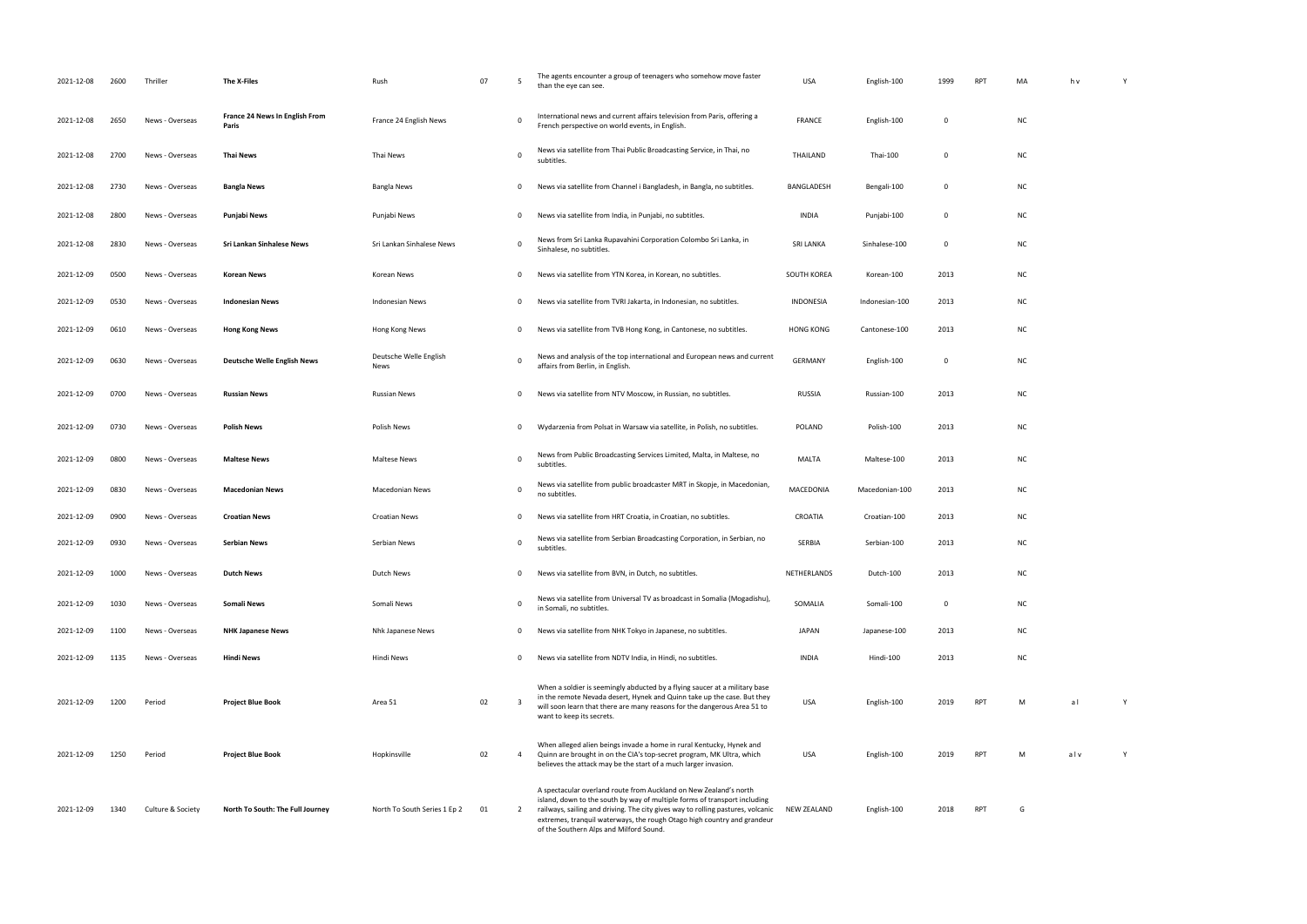| 2021-12-08 | 2600 | Thriller          | The X-Files                                    | Rush                           | 07 | - 5                     | The agents encounter a group of teenagers who somehow move faster<br>than the eye can see.                                                                                                                                                                                                                                                              | <b>USA</b>         | English-100    | 1999 | RP1        | MA        | h v |
|------------|------|-------------------|------------------------------------------------|--------------------------------|----|-------------------------|---------------------------------------------------------------------------------------------------------------------------------------------------------------------------------------------------------------------------------------------------------------------------------------------------------------------------------------------------------|--------------------|----------------|------|------------|-----------|-----|
| 2021-12-08 | 2650 | News - Overseas   | <b>France 24 News In English From</b><br>Paris | France 24 English News         |    | 0                       | International news and current affairs television from Paris, offering a<br>French perspective on world events, in English.                                                                                                                                                                                                                             | <b>FRANCE</b>      | English-100    | 0    |            | <b>NC</b> |     |
| 2021-12-08 | 2700 | News - Overseas   | Thai News                                      | Thai News                      |    | 0                       | News via satellite from Thai Public Broadcasting Service, in Thai, no<br>subtitles.                                                                                                                                                                                                                                                                     | THAILAND           | Thai-100       | 0    |            | <b>NC</b> |     |
| 2021-12-08 | 2730 | News - Overseas   | <b>Bangla News</b>                             | Bangla News                    |    | 0                       | News via satellite from Channel i Bangladesh, in Bangla, no subtitles.                                                                                                                                                                                                                                                                                  | BANGLADESH         | Bengali-100    | 0    |            | <b>NC</b> |     |
| 2021-12-08 | 2800 | News - Overseas   | Punjabi News                                   | Punjabi News                   |    | 0                       | News via satellite from India, in Punjabi, no subtitles.                                                                                                                                                                                                                                                                                                | <b>INDIA</b>       | Punjabi-100    | 0    |            | <b>NC</b> |     |
| 2021-12-08 | 2830 | News - Overseas   | Sri Lankan Sinhalese News                      | Sri Lankan Sinhalese News      |    | 0                       | News from Sri Lanka Rupavahini Corporation Colombo Sri Lanka, in<br>Sinhalese, no subtitles.                                                                                                                                                                                                                                                            | <b>SRI LANKA</b>   | Sinhalese-100  | 0    |            | <b>NC</b> |     |
| 2021-12-09 | 0500 | News - Overseas   | Korean News                                    | Korean News                    |    | 0                       | News via satellite from YTN Korea, in Korean, no subtitles.                                                                                                                                                                                                                                                                                             | SOUTH KOREA        | Korean-100     | 2013 |            | <b>NC</b> |     |
| 2021-12-09 | 0530 | News - Overseas   | <b>Indonesian News</b>                         | Indonesian News                |    | $\mathbf 0$             | News via satellite from TVRI Jakarta, in Indonesian, no subtitles.                                                                                                                                                                                                                                                                                      | INDONESIA          | Indonesian-100 | 2013 |            | <b>NC</b> |     |
| 2021-12-09 | 0610 | News - Overseas   | <b>Hong Kong News</b>                          | Hong Kong News                 |    | 0                       | News via satellite from TVB Hong Kong, in Cantonese, no subtitles.                                                                                                                                                                                                                                                                                      | <b>HONG KONG</b>   | Cantonese-100  | 2013 |            | <b>NC</b> |     |
| 2021-12-09 | 0630 | News - Overseas   | <b>Deutsche Welle English News</b>             | Deutsche Welle English<br>News |    | $\Omega$                | News and analysis of the top international and European news and current<br>affairs from Berlin, in English.                                                                                                                                                                                                                                            | <b>GERMANY</b>     | English-100    | 0    |            | <b>NC</b> |     |
| 2021-12-09 | 0700 | News - Overseas   | <b>Russian News</b>                            | Russian News                   |    | 0                       | News via satellite from NTV Moscow, in Russian, no subtitles.                                                                                                                                                                                                                                                                                           | <b>RUSSIA</b>      | Russian-100    | 2013 |            | <b>NC</b> |     |
| 2021-12-09 | 0730 | News - Overseas   | Polish News                                    | Polish News                    |    | 0                       | Wydarzenia from Polsat in Warsaw via satellite, in Polish, no subtitles.                                                                                                                                                                                                                                                                                | POLAND             | Polish-100     | 2013 |            | <b>NC</b> |     |
| 2021-12-09 | 0800 | News - Overseas   | <b>Maltese News</b>                            | <b>Maltese News</b>            |    | 0                       | News from Public Broadcasting Services Limited, Malta, in Maltese, no<br>subtitles.                                                                                                                                                                                                                                                                     | <b>MALTA</b>       | Maltese-100    | 2013 |            | <b>NC</b> |     |
| 2021-12-09 | 0830 | News - Overseas   | <b>Macedonian News</b>                         | <b>Macedonian News</b>         |    | - 0                     | News via satellite from public broadcaster MRT in Skopje, in Macedonian,<br>no subtitles.                                                                                                                                                                                                                                                               | MACEDONIA          | Macedonian-100 | 2013 |            | <b>NC</b> |     |
| 2021-12-09 | 0900 | News - Overseas   | <b>Croatian News</b>                           | <b>Croatian News</b>           |    | 0                       | News via satellite from HRT Croatia, in Croatian, no subtitles.                                                                                                                                                                                                                                                                                         | CROATIA            | Croatian-100   | 2013 |            | <b>NC</b> |     |
| 2021-12-09 | 0930 | News - Overseas   | Serbian News                                   | Serbian News                   |    | $\Omega$                | News via satellite from Serbian Broadcasting Corporation, in Serbian, no<br>subtitles.                                                                                                                                                                                                                                                                  | SERBIA             | Serbian-100    | 2013 |            | <b>NC</b> |     |
| 2021-12-09 | 1000 | News - Overseas   | Dutch News                                     | <b>Dutch News</b>              |    | 0                       | News via satellite from BVN, in Dutch, no subtitles.                                                                                                                                                                                                                                                                                                    | NETHERLANDS        | Dutch-100      | 2013 |            | <b>NC</b> |     |
| 2021-12-09 | 1030 | News - Overseas   | <b>Somali News</b>                             | Somali News                    |    | $\Omega$                | News via satellite from Universal TV as broadcast in Somalia (Mogadishu),<br>in Somali, no subtitles.                                                                                                                                                                                                                                                   | SOMALIA            | Somali-100     | 0    |            | <b>NC</b> |     |
| 2021-12-09 | 1100 | News - Overseas   | <b>NHK Japanese News</b>                       | Nhk Japanese News              |    | 0                       | News via satellite from NHK Tokyo in Japanese, no subtitles.                                                                                                                                                                                                                                                                                            | <b>JAPAN</b>       | Japanese-100   | 2013 |            | <b>NC</b> |     |
| 2021-12-09 | 1135 | News - Overseas   | <b>Hindi News</b>                              | Hindi News                     |    | 0                       | News via satellite from NDTV India, in Hindi, no subtitles.                                                                                                                                                                                                                                                                                             | <b>INDIA</b>       | Hindi-100      | 2013 |            | <b>NC</b> |     |
| 2021-12-09 | 1200 | Period            | <b>Project Blue Book</b>                       | Area 51                        | 02 | $\overline{\mathbf{3}}$ | When a soldier is seemingly abducted by a flying saucer at a military base<br>in the remote Nevada desert, Hynek and Quinn take up the case. But they<br>will soon learn that there are many reasons for the dangerous Area 51 to<br>want to keep its secrets.                                                                                          | USA                | English-100    | 2019 | <b>RPT</b> | M         | al  |
| 2021-12-09 | 1250 | Period            | <b>Project Blue Book</b>                       | Hopkinsville                   | 02 | $\overline{4}$          | When alleged alien beings invade a home in rural Kentucky, Hynek and<br>Quinn are brought in on the CIA's top-secret program, MK Ultra, which<br>believes the attack may be the start of a much larger invasion.                                                                                                                                        | USA                | English-100    | 2019 | <b>RPT</b> | M         | alv |
| 2021-12-09 | 1340 | Culture & Society | North To South: The Full Journey               | North To South Series 1 Ep 2   | 01 | $\overline{2}$          | A spectacular overland route from Auckland on New Zealand's north<br>island, down to the south by way of multiple forms of transport including<br>railways, sailing and driving. The city gives way to rolling pastures, volcanic<br>extremes, tranquil waterways, the rough Otago high country and grandeur<br>of the Southern Alps and Milford Sound. | <b>NEW ZEALAND</b> | English-100    | 2018 | <b>RPT</b> | G         |     |

| MA   | $\boldsymbol{\mathsf{h}}$ v | $\mathsf Y$  |
|------|-----------------------------|--------------|
|      |                             |              |
| NC   |                             |              |
| NC   |                             |              |
| NC   |                             |              |
| NC   |                             |              |
| NC   |                             |              |
| NC   |                             |              |
| NC   |                             |              |
| NC   |                             |              |
| NC   |                             |              |
| NC   |                             |              |
| $NC$ |                             |              |
| NC   |                             |              |
| NC   |                             |              |
| NC   |                             |              |
| NC   |                             |              |
| NC   |                             |              |
| NC   |                             |              |
| NC   |                             |              |
| NC   |                             |              |
| M    | a <sub>l</sub>              | $\mathsf{Y}$ |
| M    | $al$ v                      | Y            |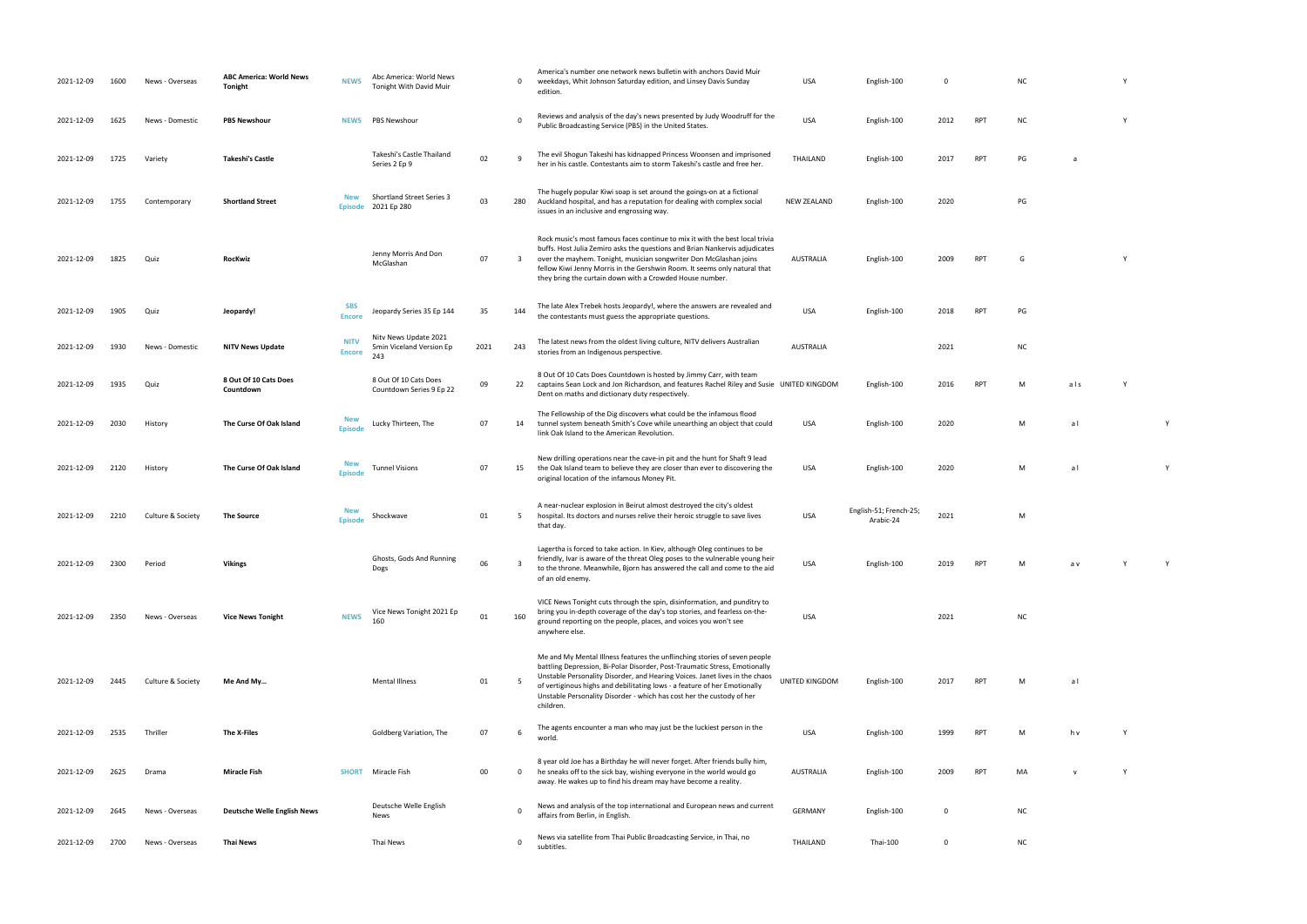| 2021-12-09 | 1600 | News - Overseas   | <b>ABC America: World News</b><br>Tonight | <b>NEWS</b>                  | Abc America: World News<br>Tonight With David Muir       |      | 0   | America's number one network news bulletin with anchors David Muir<br>weekdays, Whit Johnson Saturday edition, and Linsey Davis Sunday<br>edition.                                                                                                                                                                                                                                                        | <b>USA</b>            | English-100                         | 0           |            | N0 |
|------------|------|-------------------|-------------------------------------------|------------------------------|----------------------------------------------------------|------|-----|-----------------------------------------------------------------------------------------------------------------------------------------------------------------------------------------------------------------------------------------------------------------------------------------------------------------------------------------------------------------------------------------------------------|-----------------------|-------------------------------------|-------------|------------|----|
| 2021-12-09 | 1625 | News - Domestic   | <b>PBS Newshour</b>                       | <b>NEWS</b>                  | PBS Newshour                                             |      | 0   | Reviews and analysis of the day's news presented by Judy Woodruff for the<br>Public Broadcasting Service (PBS) in the United States.                                                                                                                                                                                                                                                                      | <b>USA</b>            | English-100                         | 2012        | <b>RPT</b> | N  |
| 2021-12-09 | 1725 | Variety           | <b>Takeshi's Castle</b>                   |                              | Takeshi's Castle Thailand<br>Series 2 Ep 9               | 02   | 9   | The evil Shogun Takeshi has kidnapped Princess Woonsen and imprisoned<br>her in his castle. Contestants aim to storm Takeshi's castle and free her.                                                                                                                                                                                                                                                       | THAILAND              | English-100                         | 2017        | <b>RPT</b> | PG |
| 2021-12-09 | 1755 | Contemporary      | <b>Shortland Street</b>                   | <b>New</b><br><b>Episode</b> | <b>Shortland Street Series 3</b><br>2021 Ep 280          | 03   | 280 | The hugely popular Kiwi soap is set around the goings-on at a fictional<br>Auckland hospital, and has a reputation for dealing with complex social<br>issues in an inclusive and engrossing way.                                                                                                                                                                                                          | <b>NEW ZEALAND</b>    | English-100                         | 2020        |            | PG |
| 2021-12-09 | 1825 | Quiz              | RocKwiz                                   |                              | Jenny Morris And Don<br>McGlashan                        | 07   | 3   | Rock music's most famous faces continue to mix it with the best local trivia<br>buffs. Host Julia Zemiro asks the questions and Brian Nankervis adjudicates<br>over the mayhem. Tonight, musician songwriter Don McGlashan joins<br>fellow Kiwi Jenny Morris in the Gershwin Room. It seems only natural that<br>they bring the curtain down with a Crowded House number.                                 | AUSTRALIA             | English-100                         | 2009        | <b>RPT</b> | G  |
| 2021-12-09 | 1905 | Quiz              | Jeopardy!                                 | <b>SBS</b><br><b>Encore</b>  | Jeopardy Series 35 Ep 144                                | 35   | 144 | The late Alex Trebek hosts Jeopardy!, where the answers are revealed and<br>the contestants must guess the appropriate questions.                                                                                                                                                                                                                                                                         | <b>USA</b>            | English-100                         | 2018        | <b>RPT</b> | PG |
| 2021-12-09 | 1930 | News - Domestic   | <b>NITV News Update</b>                   | <b>NITV</b><br><b>Encore</b> | Nity News Update 2021<br>5min Viceland Version Ep<br>243 | 2021 | 243 | The latest news from the oldest living culture, NITV delivers Australian<br>stories from an Indigenous perspective.                                                                                                                                                                                                                                                                                       | <b>AUSTRALIA</b>      |                                     | 2021        |            | N  |
| 2021-12-09 | 1935 | Quiz              | 8 Out Of 10 Cats Does<br>Countdown        |                              | 8 Out Of 10 Cats Does<br>Countdown Series 9 Ep 22        | 09   | 22  | 8 Out Of 10 Cats Does Countdown is hosted by Jimmy Carr, with team<br>captains Sean Lock and Jon Richardson, and features Rachel Riley and Susie UNITED KINGDOM<br>Dent on maths and dictionary duty respectively.                                                                                                                                                                                        |                       | English-100                         | 2016        | <b>RPT</b> | M  |
| 2021-12-09 | 2030 | History           | The Curse Of Oak Island                   | <b>New</b><br><b>Episode</b> | Lucky Thirteen, The                                      | 07   | 14  | The Fellowship of the Dig discovers what could be the infamous flood<br>tunnel system beneath Smith's Cove while unearthing an object that could<br>link Oak Island to the American Revolution.                                                                                                                                                                                                           | USA                   | English-100                         | 2020        |            | M  |
| 2021-12-09 | 2120 | History           | The Curse Of Oak Island                   | <b>New</b><br><b>Episode</b> | <b>Tunnel Visions</b>                                    | 07   | 15  | New drilling operations near the cave-in pit and the hunt for Shaft 9 lead<br>the Oak Island team to believe they are closer than ever to discovering the<br>original location of the infamous Money Pit.                                                                                                                                                                                                 | USA                   | English-100                         | 2020        |            | M  |
| 2021-12-09 | 2210 | Culture & Society | <b>The Source</b>                         | <b>Episode</b>               | Shockwave                                                | 01   | 5   | A near-nuclear explosion in Beirut almost destroyed the city's oldest<br>hospital. Its doctors and nurses relive their heroic struggle to save lives<br>that day.                                                                                                                                                                                                                                         | USA                   | English-51; French-25;<br>Arabic-24 | 2021        |            | M  |
| 2021-12-09 | 2300 | Period            | <b>Vikings</b>                            |                              | Ghosts, Gods And Running<br>Dogs                         | 06   | 3   | Lagertha is forced to take action. In Kiev, although Oleg continues to be<br>friendly, Ivar is aware of the threat Oleg poses to the vulnerable young heir<br>to the throne. Meanwhile, Bjorn has answered the call and come to the aid<br>of an old enemy.                                                                                                                                               | <b>USA</b>            | English-100                         | 2019        | <b>RPT</b> | M  |
| 2021-12-09 | 2350 | News - Overseas   | <b>Vice News Tonight</b>                  | <b>NEWS</b>                  | Vice News Tonight 2021 Ep<br>160                         | 01   | 160 | VICE News Tonight cuts through the spin, disinformation, and punditry to<br>bring you in-depth coverage of the day's top stories, and fearless on-the-<br>ground reporting on the people, places, and voices you won't see<br>anywhere else.                                                                                                                                                              | <b>USA</b>            |                                     | 2021        |            | N  |
| 2021-12-09 | 2445 | Culture & Society | Me And My                                 |                              | <b>Mental Illness</b>                                    | 01   | 5   | Me and My Mental Illness features the unflinching stories of seven people<br>battling Depression, Bi-Polar Disorder, Post-Traumatic Stress, Emotionally<br>Unstable Personality Disorder, and Hearing Voices. Janet lives in the chaos<br>of vertiginous highs and debilitating lows - a feature of her Emotionally<br>Unstable Personality Disorder - which has cost her the custody of her<br>children. | <b>UNITED KINGDOM</b> | English-100                         | 2017        | <b>RPT</b> | M  |
| 2021-12-09 | 2535 | Thriller          | The X-Files                               |                              | Goldberg Variation, The                                  | 07   | 6   | The agents encounter a man who may just be the luckiest person in the<br>world.                                                                                                                                                                                                                                                                                                                           | USA                   | English-100                         | 1999        | <b>RPT</b> | M  |
| 2021-12-09 | 2625 | Drama             | <b>Miracle Fish</b>                       | <b>SHORT</b>                 | Miracle Fish                                             | 00   | 0   | 8 year old Joe has a Birthday he will never forget. After friends bully him,<br>he sneaks off to the sick bay, wishing everyone in the world would go<br>away. He wakes up to find his dream may have become a reality.                                                                                                                                                                                   | <b>AUSTRALIA</b>      | English-100                         | 2009        | <b>RPT</b> | MA |
| 2021-12-09 | 2645 | News - Overseas   | <b>Deutsche Welle English News</b>        |                              | Deutsche Welle English<br>News                           |      | 0   | News and analysis of the top international and European news and current<br>affairs from Berlin, in English.                                                                                                                                                                                                                                                                                              | <b>GERMANY</b>        | English-100                         | 0           |            | N  |
| 2021-12-09 | 2700 | News - Overseas   | <b>Thai News</b>                          |                              | Thai News                                                |      | 0   | News via satellite from Thai Public Broadcasting Service, in Thai, no<br>subtitles.                                                                                                                                                                                                                                                                                                                       | THAILAND              | Thai-100                            | $\mathbf 0$ |            | N0 |

- NC Y
- PUBLIC BROADCASTING STATES. USA ENGLISH-100 2012 RPT NC Y
- her in his castle. Contestants and free her. The storm Takeshi and free her. The storm Takeshi and free her. T<br>That is castle and free her. The storm Takeshi and free her. The storm Takeshi and for the storm Takeshi and f
- $PG$
- RPT G Y
	-
	-
- $nc$
- RPT M als Y
- USA English-100 2020 M a l Y
	- USA English-100 2020 M a l Y
- Arabic-24 <sup>2021</sup> <sup>M</sup>
	-
- RPT M a v Y Y
- NC
	-
- RPT M al
- world. USA English-100 N<br>100 1999 M
- PT MA v Y Y
	-
	-
- 
- 
- 
- 
- 
- 
- 
- 
- 
- 
- 
- 
- 
- 
- 
-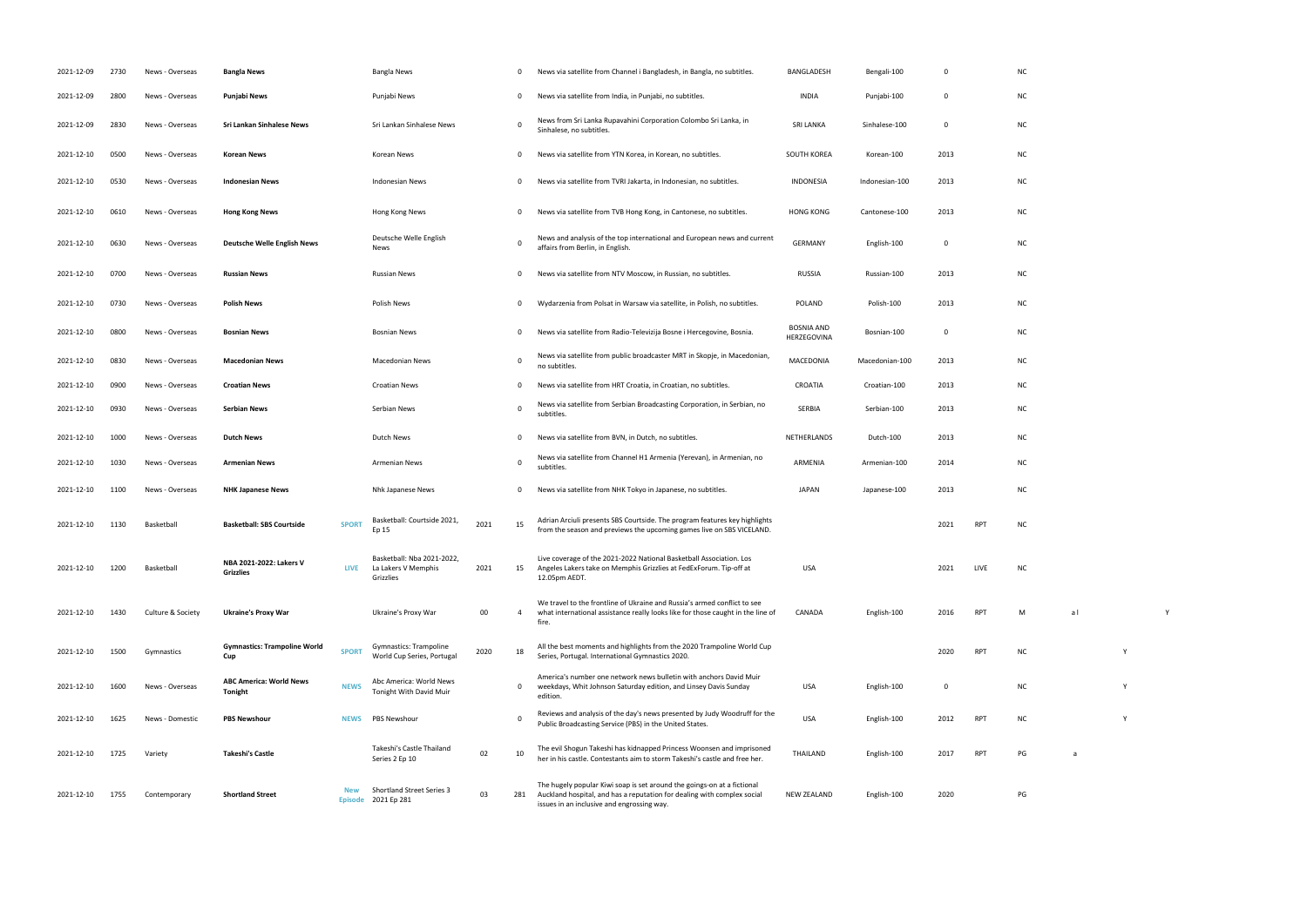|               | $\pmb{0}$   |            | NC            |             |   |             |  |
|---------------|-------------|------------|---------------|-------------|---|-------------|--|
|               | $\mathbf 0$ |            | ${\sf NC}$    |             |   |             |  |
|               | $\pmb{0}$   |            | ${\sf NC}$    |             |   |             |  |
|               | 2013        |            | ${\sf NC}$    |             |   |             |  |
| D             | 2013        |            | ${\sf NC}$    |             |   |             |  |
| $\mathfrak z$ | 2013        |            | ${\sf NC}$    |             |   |             |  |
|               | $\pmb{0}$   |            | ${\sf NC}$    |             |   |             |  |
|               | 2013        |            | ${\sf NC}$    |             |   |             |  |
|               | 2013        |            | ${\sf NC}$    |             |   |             |  |
|               | $\pmb{0}$   |            | ${\sf NC}$    |             |   |             |  |
| 10            | 2013        |            | ${\sf NC}$    |             |   |             |  |
|               | 2013        |            | ${\sf NC}$    |             |   |             |  |
|               | 2013        |            | ${\sf NC}$    |             |   |             |  |
|               | 2013        |            | ${\sf NC}$    |             |   |             |  |
|               | 2014        |            | ${\sf NC}$    |             |   |             |  |
|               | 2013        |            | ${\sf NC}$    |             |   |             |  |
|               | 2021        | RPT        | $\sf NC$      |             |   |             |  |
|               | 2021        | LIVE       | ${\sf NC}$    |             |   |             |  |
|               | 2016 RPT    |            | М             | $a \mid$    |   | $\mathsf Y$ |  |
|               | 2020 RPT    |            | ${\sf NC}$    |             | Υ |             |  |
|               | $\pmb{0}$   |            | ${\sf NC}$    |             | Υ |             |  |
|               | 2012        | RPT        | ${\sf NC}$    |             | Υ |             |  |
|               | 2017        | <b>RPT</b> | $\mathsf{PG}$ | $\mathsf a$ |   |             |  |

| 2021-12-09 | 2730 | News - Overseas   | <b>Bangla News</b>                               |              | <b>Bangla News</b>                                             |      | 0            | News via satellite from Channel i Bangladesh, in Bangla, no subtitles.                                                                                                                           | BANGLADESH                       | Bengali-100    | $\Omega$ |            | <b>NC</b> |    |  |
|------------|------|-------------------|--------------------------------------------------|--------------|----------------------------------------------------------------|------|--------------|--------------------------------------------------------------------------------------------------------------------------------------------------------------------------------------------------|----------------------------------|----------------|----------|------------|-----------|----|--|
| 2021-12-09 | 2800 | News - Overseas   | Punjabi News                                     |              | Punjabi News                                                   |      | 0            | News via satellite from India, in Punjabi, no subtitles.                                                                                                                                         | <b>INDIA</b>                     | Punjabi-100    | $\Omega$ |            | <b>NC</b> |    |  |
| 2021-12-09 | 2830 | News - Overseas   | Sri Lankan Sinhalese News                        |              | Sri Lankan Sinhalese News                                      |      | $\mathbf 0$  | News from Sri Lanka Rupavahini Corporation Colombo Sri Lanka, in<br>Sinhalese, no subtitles.                                                                                                     | <b>SRI LANKA</b>                 | Sinhalese-100  | $\Omega$ |            | <b>NC</b> |    |  |
| 2021-12-10 | 0500 | News - Overseas   | Korean News                                      |              | Korean News                                                    |      | 0            | News via satellite from YTN Korea, in Korean, no subtitles.                                                                                                                                      | SOUTH KOREA                      | Korean-100     | 2013     |            | <b>NC</b> |    |  |
| 2021-12-10 | 0530 | News - Overseas   | <b>Indonesian News</b>                           |              | <b>Indonesian News</b>                                         |      | 0            | News via satellite from TVRI Jakarta, in Indonesian, no subtitles.                                                                                                                               | INDONESIA                        | Indonesian-100 | 2013     |            | <b>NC</b> |    |  |
| 2021-12-10 | 0610 | News - Overseas   | <b>Hong Kong News</b>                            |              | Hong Kong News                                                 |      | 0            | News via satellite from TVB Hong Kong, in Cantonese, no subtitles.                                                                                                                               | <b>HONG KONG</b>                 | Cantonese-100  | 2013     |            | <b>NC</b> |    |  |
| 2021-12-10 | 0630 | News - Overseas   | <b>Deutsche Welle English News</b>               |              | Deutsche Welle English<br><b>News</b>                          |      | $\Omega$     | News and analysis of the top international and European news and current<br>affairs from Berlin, in English.                                                                                     | <b>GERMANY</b>                   | English-100    | $\Omega$ |            | <b>NC</b> |    |  |
| 2021-12-10 | 0700 | News - Overseas   | <b>Russian News</b>                              |              | Russian News                                                   |      | 0            | News via satellite from NTV Moscow, in Russian, no subtitles.                                                                                                                                    | <b>RUSSIA</b>                    | Russian-100    | 2013     |            | <b>NC</b> |    |  |
| 2021-12-10 | 0730 | News - Overseas   | <b>Polish News</b>                               |              | <b>Polish News</b>                                             |      | 0            | Wydarzenia from Polsat in Warsaw via satellite, in Polish, no subtitles.                                                                                                                         | POLAND                           | Polish-100     | 2013     |            | <b>NC</b> |    |  |
| 2021-12-10 | 0800 | News - Overseas   | <b>Bosnian News</b>                              |              | <b>Bosnian News</b>                                            |      | 0            | News via satellite from Radio-Televizija Bosne i Hercegovine, Bosnia.                                                                                                                            | <b>BOSNIA AND</b><br>HERZEGOVINA | Bosnian-100    | $\Omega$ |            | <b>NC</b> |    |  |
| 2021-12-10 | 0830 | News - Overseas   | <b>Macedonian News</b>                           |              | Macedonian News                                                |      | $\mathbf{0}$ | News via satellite from public broadcaster MRT in Skopje, in Macedonian,<br>no subtitles.                                                                                                        | MACEDONIA                        | Macedonian-100 | 2013     |            | <b>NC</b> |    |  |
| 2021-12-10 | 0900 | News - Overseas   | <b>Croatian News</b>                             |              | <b>Croatian News</b>                                           |      | 0            | News via satellite from HRT Croatia, in Croatian, no subtitles.                                                                                                                                  | CROATIA                          | Croatian-100   | 2013     |            | <b>NC</b> |    |  |
| 2021-12-10 | 0930 | News - Overseas   | Serbian News                                     |              | Serbian News                                                   |      | 0            | News via satellite from Serbian Broadcasting Corporation, in Serbian, no<br>subtitles.                                                                                                           | SERBIA                           | Serbian-100    | 2013     |            | <b>NC</b> |    |  |
| 2021-12-10 | 1000 | News - Overseas   | <b>Dutch News</b>                                |              | <b>Dutch News</b>                                              |      | 0            | News via satellite from BVN, in Dutch, no subtitles.                                                                                                                                             | NETHERLANDS                      | Dutch-100      | 2013     |            | <b>NC</b> |    |  |
| 2021-12-10 | 1030 | News - Overseas   | <b>Armenian News</b>                             |              | <b>Armenian News</b>                                           |      | 0            | News via satellite from Channel H1 Armenia (Yerevan), in Armenian, no<br>subtitles.                                                                                                              | ARMENIA                          | Armenian-100   | 2014     |            | <b>NC</b> |    |  |
| 2021-12-10 | 1100 | News - Overseas   | <b>NHK Japanese News</b>                         |              | Nhk Japanese News                                              |      | 0            | News via satellite from NHK Tokyo in Japanese, no subtitles.                                                                                                                                     | <b>JAPAN</b>                     | Japanese-100   | 2013     |            | <b>NC</b> |    |  |
| 2021-12-10 | 1130 | Basketball        | <b>Basketball: SBS Courtside</b>                 | <b>SPORT</b> | Basketball: Courtside 2021,<br>Ep 15                           | 2021 | 15           | Adrian Arciuli presents SBS Courtside. The program features key highlights<br>from the season and previews the upcoming games live on SBS VICELAND.                                              |                                  |                | 2021     | <b>RPT</b> | <b>NC</b> |    |  |
| 2021-12-10 | 1200 | Basketball        | NBA 2021-2022: Lakers V<br><b>Grizzlies</b>      | LIVE         | Basketball: Nba 2021-2022,<br>La Lakers V Memphis<br>Grizzlies | 2021 | 15           | Live coverage of the 2021-2022 National Basketball Association. Los<br>Angeles Lakers take on Memphis Grizzlies at FedExForum. Tip-off at<br>12.05pm AEDT.                                       | <b>USA</b>                       |                | 2021     | LIVE       | <b>NC</b> |    |  |
| 2021-12-10 | 1430 | Culture & Society | <b>Ukraine's Proxy War</b>                       |              | Ukraine's Proxy War                                            | 00   | 4            | We travel to the frontline of Ukraine and Russia's armed conflict to see<br>what international assistance really looks like for those caught in the line of<br>fire.                             | CANADA                           | English-100    | 2016     | <b>RPT</b> | M         | al |  |
| 2021-12-10 | 1500 | Gymnastics        | <b>Gymnastics: Trampoline World</b><br>Cup       | <b>SPORT</b> | Gymnastics: Trampoline<br>World Cup Series, Portugal           | 2020 | 18           | All the best moments and highlights from the 2020 Trampoline World Cup<br>Series, Portugal. International Gymnastics 2020.                                                                       |                                  |                | 2020     | <b>RPT</b> | <b>NC</b> |    |  |
| 2021-12-10 | 1600 | News - Overseas   | <b>ABC America: World News</b><br><b>Tonight</b> | <b>NEWS</b>  | Abc America: World News<br>Tonight With David Muir             |      | 0            | America's number one network news bulletin with anchors David Muir<br>weekdays, Whit Johnson Saturday edition, and Linsey Davis Sunday<br>edition.                                               | USA                              | English-100    | 0        |            | <b>NC</b> |    |  |
| 2021-12-10 | 1625 | News - Domestic   | <b>PBS Newshour</b>                              | <b>NEWS</b>  | <b>PBS Newshour</b>                                            |      | $\mathbf 0$  | Reviews and analysis of the day's news presented by Judy Woodruff for the<br>Public Broadcasting Service (PBS) in the United States.                                                             | <b>USA</b>                       | English-100    | 2012     | <b>RPT</b> | <b>NC</b> |    |  |
| 2021-12-10 | 1725 | Variety           | <b>Takeshi's Castle</b>                          |              | Takeshi's Castle Thailand<br>Series 2 Ep 10                    | 02   | 10           | The evil Shogun Takeshi has kidnapped Princess Woonsen and imprisoned<br>her in his castle. Contestants aim to storm Takeshi's castle and free her.                                              | THAILAND                         | English-100    | 2017     | <b>RPT</b> | PG        | a  |  |
| 2021-12-10 | 1755 | Contemporary      | <b>Shortland Street</b>                          | <b>New</b>   | Shortland Street Series 3<br>Episode 2021 Ep 281               | 03   | 281          | The hugely popular Kiwi soap is set around the goings-on at a fictional<br>Auckland hospital, and has a reputation for dealing with complex social<br>issues in an inclusive and engrossing way. | NEW ZEALAND                      | English-100    | 2020     |            | PG        |    |  |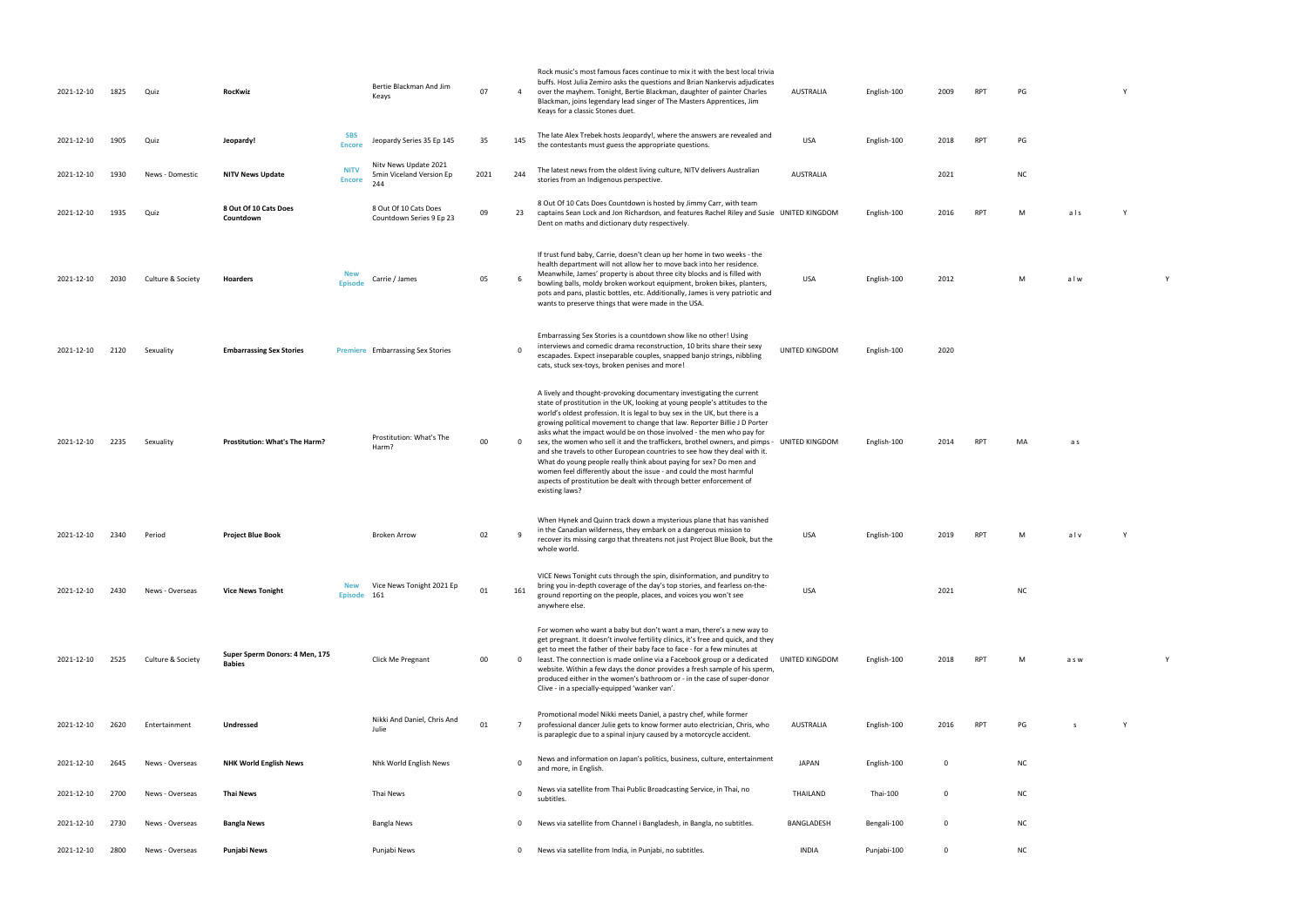| 2021-12-10 | 1825 | Quiz              | RocKwiz                                         |                              | Bertie Blackman And Jim<br>Keays                         | 07   | $\overline{4}$  | Rock music's most famous faces continue to mix it with the best local trivia<br>buffs. Host Julia Zemiro asks the questions and Brian Nankervis adjudicates<br>over the mayhem. Tonight, Bertie Blackman, daughter of painter Charles<br>Blackman, joins legendary lead singer of The Masters Apprentices, Jim<br>Keays for a classic Stones duet.                                                                                                                                                                                                                                                                                                                                                                                                                                         | AUSTRALIA        | English-100 | 2009         | <b>RPT</b> | PG        |       |  |
|------------|------|-------------------|-------------------------------------------------|------------------------------|----------------------------------------------------------|------|-----------------|--------------------------------------------------------------------------------------------------------------------------------------------------------------------------------------------------------------------------------------------------------------------------------------------------------------------------------------------------------------------------------------------------------------------------------------------------------------------------------------------------------------------------------------------------------------------------------------------------------------------------------------------------------------------------------------------------------------------------------------------------------------------------------------------|------------------|-------------|--------------|------------|-----------|-------|--|
| 2021-12-10 | 1905 | Quiz              | Jeopardy!                                       | <b>SBS</b><br><b>Encore</b>  | Jeopardy Series 35 Ep 145                                | 35   | 145             | The late Alex Trebek hosts Jeopardy!, where the answers are revealed and<br>the contestants must guess the appropriate questions.                                                                                                                                                                                                                                                                                                                                                                                                                                                                                                                                                                                                                                                          | <b>USA</b>       | English-100 | 2018         | <b>RPT</b> | PG        |       |  |
| 2021-12-10 | 1930 | News - Domestic   | <b>NITV News Update</b>                         | <b>NITV</b><br><b>Encore</b> | Nitv News Update 2021<br>5min Viceland Version Ep<br>244 | 2021 | 244             | The latest news from the oldest living culture, NITV delivers Australian<br>stories from an Indigenous perspective.                                                                                                                                                                                                                                                                                                                                                                                                                                                                                                                                                                                                                                                                        | <b>AUSTRALIA</b> |             | 2021         |            | <b>NC</b> |       |  |
| 2021-12-10 | 1935 | Quiz              | 8 Out Of 10 Cats Does<br>Countdown              |                              | 8 Out Of 10 Cats Does<br>Countdown Series 9 Ep 23        | 09   | 23              | 8 Out Of 10 Cats Does Countdown is hosted by Jimmy Carr, with team<br>captains Sean Lock and Jon Richardson, and features Rachel Riley and Susie UNITED KINGDOM<br>Dent on maths and dictionary duty respectively.                                                                                                                                                                                                                                                                                                                                                                                                                                                                                                                                                                         |                  | English-100 | 2016         | <b>RPT</b> | M         | als   |  |
| 2021-12-10 | 2030 | Culture & Society | <b>Hoarders</b>                                 | <b>New</b><br><b>Episode</b> | Carrie / James                                           | 05   | -6              | If trust fund baby, Carrie, doesn't clean up her home in two weeks - the<br>health department will not allow her to move back into her residence.<br>Meanwhile, James' property is about three city blocks and is filled with<br>bowling balls, moldy broken workout equipment, broken bikes, planters,<br>pots and pans, plastic bottles, etc. Additionally, James is very patriotic and<br>wants to preserve things that were made in the USA.                                                                                                                                                                                                                                                                                                                                           | <b>USA</b>       | English-100 | 2012         |            | M         | alw   |  |
| 2021-12-10 | 2120 | Sexuality         | <b>Embarrassing Sex Stories</b>                 |                              | <b>Premiere</b> Embarrassing Sex Stories                 |      | $\Omega$        | Embarrassing Sex Stories is a countdown show like no other! Using<br>interviews and comedic drama reconstruction, 10 brits share their sexy<br>escapades. Expect inseparable couples, snapped banjo strings, nibbling<br>cats, stuck sex-toys, broken penises and more!                                                                                                                                                                                                                                                                                                                                                                                                                                                                                                                    | UNITED KINGDOM   | English-100 | 2020         |            |           |       |  |
| 2021-12-10 | 2235 | Sexuality         | Prostitution: What's The Harm?                  |                              | Prostitution: What's The<br>Harm?                        | 00   | $\mathbf 0$     | A lively and thought-provoking documentary investigating the current<br>state of prostitution in the UK, looking at young people's attitudes to the<br>world's oldest profession. It is legal to buy sex in the UK, but there is a<br>growing political movement to change that law. Reporter Billie J D Porter<br>asks what the impact would be on those involved - the men who pay for<br>sex, the women who sell it and the traffickers, brothel owners, and pimps -<br>and she travels to other European countries to see how they deal with it.<br>What do young people really think about paying for sex? Do men and<br>women feel differently about the issue - and could the most harmful<br>aspects of prostitution be dealt with through better enforcement of<br>existing laws? | UNITED KINGDOM   | English-100 | 2014         | <b>RPT</b> | MA        | a s   |  |
| 2021-12-10 | 2340 | Period            | <b>Project Blue Book</b>                        |                              | <b>Broken Arrow</b>                                      | 02   | 9               | When Hynek and Quinn track down a mysterious plane that has vanished<br>in the Canadian wilderness, they embark on a dangerous mission to<br>recover its missing cargo that threatens not just Project Blue Book, but the<br>whole world.                                                                                                                                                                                                                                                                                                                                                                                                                                                                                                                                                  | USA              | English-100 | 2019         | <b>RPT</b> | M         | alv   |  |
| 2021-12-10 | 2430 | News - Overseas   | <b>Vice News Tonight</b>                        | <b>New</b><br>Episode 161    | Vice News Tonight 2021 Ep                                | 01   | 161             | VICE News Tonight cuts through the spin, disinformation, and punditry to<br>bring you in-depth coverage of the day's top stories, and fearless on-the-<br>ground reporting on the people, places, and voices you won't see<br>anywhere else.                                                                                                                                                                                                                                                                                                                                                                                                                                                                                                                                               | USA              |             | 2021         |            | <b>NC</b> |       |  |
| 2021-12-10 | 2525 | Culture & Society | Super Sperm Donors: 4 Men, 175<br><b>Babies</b> |                              | Click Me Pregnant                                        | 00   | $\mathbf 0$     | For women who want a baby but don't want a man, there's a new way to<br>get pregnant. It doesn't involve fertility clinics, it's free and quick, and they<br>get to meet the father of their baby face to face - for a few minutes at<br>least. The connection is made online via a Facebook group or a dedicated<br>website. Within a few days the donor provides a fresh sample of his sperm,<br>produced either in the women's bathroom or - in the case of super-donor<br>Clive - in a specially-equipped 'wanker van'.                                                                                                                                                                                                                                                                | UNITED KINGDOM   | English-100 | 2018         | <b>RPT</b> | M         | a s w |  |
| 2021-12-10 | 2620 | Entertainment     | <b>Undressed</b>                                |                              | Nikki And Daniel, Chris And<br>Julie                     | 01   | $7\overline{ }$ | Promotional model Nikki meets Daniel, a pastry chef, while former<br>professional dancer Julie gets to know former auto electrician, Chris, who<br>is paraplegic due to a spinal injury caused by a motorcycle accident.                                                                                                                                                                                                                                                                                                                                                                                                                                                                                                                                                                   | <b>AUSTRALIA</b> | English-100 | 2016         | <b>RPT</b> | PG        | s     |  |
| 2021-12-10 | 2645 | News - Overseas   | <b>NHK World English News</b>                   |                              | Nhk World English News                                   |      | $\Omega$        | News and information on Japan's politics, business, culture, entertainment<br>and more, in English.                                                                                                                                                                                                                                                                                                                                                                                                                                                                                                                                                                                                                                                                                        | <b>JAPAN</b>     | English-100 | $\mathbf 0$  |            | <b>NC</b> |       |  |
| 2021-12-10 | 2700 | News - Overseas   | <b>Thai News</b>                                |                              | Thai News                                                |      | $\Omega$        | News via satellite from Thai Public Broadcasting Service, in Thai, no<br>subtitles.                                                                                                                                                                                                                                                                                                                                                                                                                                                                                                                                                                                                                                                                                                        | THAILAND         | Thai-100    | $\mathbf 0$  |            | <b>NC</b> |       |  |
| 2021-12-10 | 2730 | News - Overseas   | <b>Bangla News</b>                              |                              | Bangla News                                              |      | $\mathbf 0$     | News via satellite from Channel i Bangladesh, in Bangla, no subtitles.                                                                                                                                                                                                                                                                                                                                                                                                                                                                                                                                                                                                                                                                                                                     | BANGLADESH       | Bengali-100 | $\mathbf{0}$ |            | <b>NC</b> |       |  |
| 2021-12-10 | 2800 | News - Overseas   | Punjabi News                                    |                              | Punjabi News                                             |      | 0               | News via satellite from India, in Punjabi, no subtitles.                                                                                                                                                                                                                                                                                                                                                                                                                                                                                                                                                                                                                                                                                                                                   | <b>INDIA</b>     | Punjabi-100 | $\mathbf 0$  |            | <b>NC</b> |       |  |

| PG | Υ |
|----|---|
|    |   |
| PG |   |

United Kingdom States Andrew York 100 2016 PM and States Andrew York 2016 RPT M a late States Andrew York 2016 R<br>Mark 2016 RPT M a l second Andrew York 2016 PM a l second Anglis Andrew York 2016 RPT M a l second Anglis Ang

USA English-100 2012 M a l w Y

 $MA$  a s

USA English-100 2019 RPT M a l v Y

UNITED KINGDOM ENGLISH-100 2019 RPT M ANNO 2019 RPT M ANNO 2019 RPT M ANNO 2019 RPT M A S W Y

PG s Y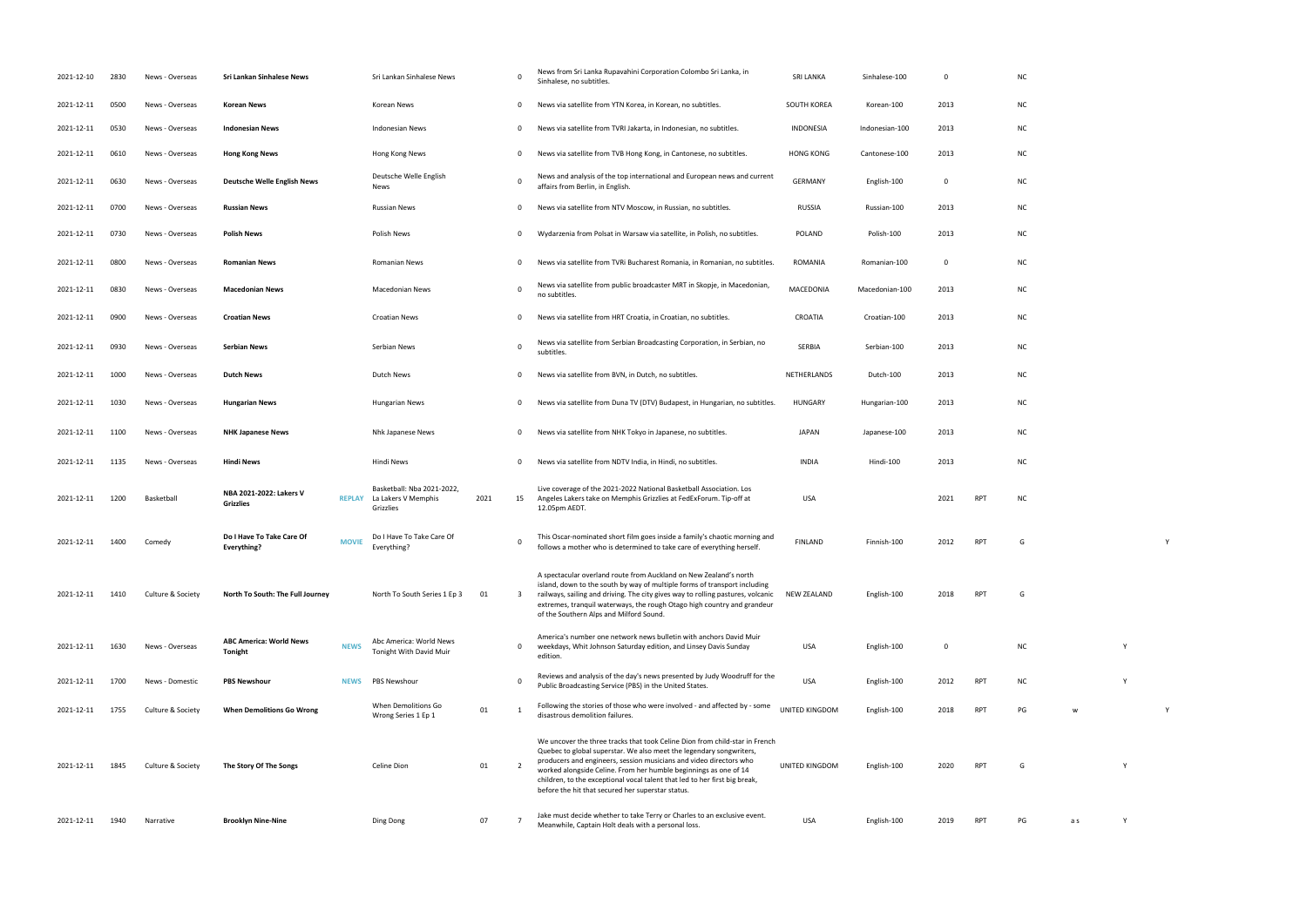| 2021-12-10 | 2830 | News - Overseas   | Sri Lankan Sinhalese News                        |              | Sri Lankan Sinhalese News                                                    |      | 0                       | News from Sri Lanka Rupavahini Corporation Colombo Sri Lanka, in<br>Sinhalese, no subtitles.                                                                                                                                                                                                                                                                                                                                    | <b>SRI LANKA</b> | Sinhalese-100  | 0    |            | <b>NC</b> |  |
|------------|------|-------------------|--------------------------------------------------|--------------|------------------------------------------------------------------------------|------|-------------------------|---------------------------------------------------------------------------------------------------------------------------------------------------------------------------------------------------------------------------------------------------------------------------------------------------------------------------------------------------------------------------------------------------------------------------------|------------------|----------------|------|------------|-----------|--|
| 2021-12-11 | 0500 | News - Overseas   | <b>Korean News</b>                               |              | Korean News                                                                  |      | 0                       | News via satellite from YTN Korea, in Korean, no subtitles.                                                                                                                                                                                                                                                                                                                                                                     | SOUTH KOREA      | Korean-100     | 2013 |            | <b>NC</b> |  |
| 2021-12-11 | 0530 | News - Overseas   | <b>Indonesian News</b>                           |              | <b>Indonesian News</b>                                                       |      | 0                       | News via satellite from TVRI Jakarta, in Indonesian, no subtitles.                                                                                                                                                                                                                                                                                                                                                              | <b>INDONESIA</b> | Indonesian-100 | 2013 |            | <b>NC</b> |  |
| 2021-12-11 | 0610 | News - Overseas   | <b>Hong Kong News</b>                            |              | Hong Kong News                                                               |      | 0                       | News via satellite from TVB Hong Kong, in Cantonese, no subtitles.                                                                                                                                                                                                                                                                                                                                                              | <b>HONG KONG</b> | Cantonese-100  | 2013 |            | <b>NC</b> |  |
| 2021-12-11 | 0630 | News - Overseas   | <b>Deutsche Welle English News</b>               |              | Deutsche Welle English<br>News                                               |      | 0                       | News and analysis of the top international and European news and current<br>affairs from Berlin, in English.                                                                                                                                                                                                                                                                                                                    | <b>GERMANY</b>   | English-100    | 0    |            | <b>NC</b> |  |
| 2021-12-11 | 0700 | News - Overseas   | <b>Russian News</b>                              |              | <b>Russian News</b>                                                          |      | 0                       | News via satellite from NTV Moscow, in Russian, no subtitles.                                                                                                                                                                                                                                                                                                                                                                   | <b>RUSSIA</b>    | Russian-100    | 2013 |            | <b>NC</b> |  |
| 2021-12-11 | 0730 | News - Overseas   | Polish News                                      |              | Polish News                                                                  |      | 0                       | Wydarzenia from Polsat in Warsaw via satellite, in Polish, no subtitles.                                                                                                                                                                                                                                                                                                                                                        | <b>POLAND</b>    | Polish-100     | 2013 |            | <b>NC</b> |  |
| 2021-12-11 | 0800 | News - Overseas   | <b>Romanian News</b>                             |              | <b>Romanian News</b>                                                         |      | 0                       | News via satellite from TVRi Bucharest Romania, in Romanian, no subtitles.                                                                                                                                                                                                                                                                                                                                                      | ROMANIA          | Romanian-100   | 0    |            | <b>NC</b> |  |
| 2021-12-11 | 0830 | News - Overseas   | <b>Macedonian News</b>                           |              | <b>Macedonian News</b>                                                       |      | 0                       | News via satellite from public broadcaster MRT in Skopje, in Macedonian,<br>no subtitles.                                                                                                                                                                                                                                                                                                                                       | MACEDONIA        | Macedonian-100 | 2013 |            | <b>NC</b> |  |
| 2021-12-11 | 0900 | News - Overseas   | <b>Croatian News</b>                             |              | <b>Croatian News</b>                                                         |      | 0                       | News via satellite from HRT Croatia, in Croatian, no subtitles.                                                                                                                                                                                                                                                                                                                                                                 | CROATIA          | Croatian-100   | 2013 |            | <b>NC</b> |  |
| 2021-12-11 | 0930 | News - Overseas   | <b>Serbian News</b>                              |              | Serbian News                                                                 |      | 0                       | News via satellite from Serbian Broadcasting Corporation, in Serbian, no<br>subtitles.                                                                                                                                                                                                                                                                                                                                          | SERBIA           | Serbian-100    | 2013 |            | <b>NC</b> |  |
| 2021-12-11 | 1000 | News - Overseas   | <b>Dutch News</b>                                |              | Dutch News                                                                   |      | 0                       | News via satellite from BVN, in Dutch, no subtitles.                                                                                                                                                                                                                                                                                                                                                                            | NETHERLANDS      | Dutch-100      | 2013 |            | <b>NC</b> |  |
| 2021-12-11 | 1030 | News - Overseas   | <b>Hungarian News</b>                            |              | Hungarian News                                                               |      | 0                       | News via satellite from Duna TV (DTV) Budapest, in Hungarian, no subtitles.                                                                                                                                                                                                                                                                                                                                                     | <b>HUNGARY</b>   | Hungarian-100  | 2013 |            | <b>NC</b> |  |
| 2021-12-11 | 1100 | News - Overseas   | <b>NHK Japanese News</b>                         |              | Nhk Japanese News                                                            |      | 0                       | News via satellite from NHK Tokyo in Japanese, no subtitles.                                                                                                                                                                                                                                                                                                                                                                    | <b>JAPAN</b>     | Japanese-100   | 2013 |            | <b>NC</b> |  |
| 2021-12-11 | 1135 | News - Overseas   | <b>Hindi News</b>                                |              | Hindi News                                                                   |      | 0                       | News via satellite from NDTV India, in Hindi, no subtitles.                                                                                                                                                                                                                                                                                                                                                                     | <b>INDIA</b>     | Hindi-100      | 2013 |            | <b>NC</b> |  |
| 2021-12-11 | 1200 | Basketball        | NBA 2021-2022: Lakers V<br><b>Grizzlies</b>      |              | Basketball: Nba 2021-2022,<br><b>REPLAY</b> La Lakers V Memphis<br>Grizzlies | 2021 | 15                      | Live coverage of the 2021-2022 National Basketball Association. Los<br>Angeles Lakers take on Memphis Grizzlies at FedExForum. Tip-off at<br>12.05pm AEDT.                                                                                                                                                                                                                                                                      | USA              |                | 2021 | <b>RPT</b> | <b>NC</b> |  |
| 2021-12-11 | 1400 | Comedy            | Do I Have To Take Care Of<br><b>Everything?</b>  | <b>MOVIE</b> | Do I Have To Take Care Of<br>Everything?                                     |      | 0                       | This Oscar-nominated short film goes inside a family's chaotic morning and<br>follows a mother who is determined to take care of everything herself.                                                                                                                                                                                                                                                                            | <b>FINLAND</b>   | Finnish-100    | 2012 | <b>RPT</b> | G         |  |
| 2021-12-11 | 1410 | Culture & Society | North To South: The Full Journey                 |              | North To South Series 1 Ep 3                                                 | 01   | $\overline{\mathbf{3}}$ | A spectacular overland route from Auckland on New Zealand's north<br>island, down to the south by way of multiple forms of transport including<br>railways, sailing and driving. The city gives way to rolling pastures, volcanic                                                                                                                                                                                               | NEW ZEALAND      | English-100    | 2018 | RPT        | G         |  |
|            |      |                   |                                                  |              |                                                                              |      |                         | extremes, tranquil waterways, the rough Otago high country and grandeur<br>of the Southern Alps and Milford Sound.                                                                                                                                                                                                                                                                                                              |                  |                |      |            |           |  |
| 2021-12-11 | 1630 | News - Overseas   | <b>ABC America: World News</b><br><b>Tonight</b> | <b>NEWS</b>  | Abc America: World News<br>Tonight With David Muir                           |      | 0                       | America's number one network news bulletin with anchors David Muir<br>weekdays, Whit Johnson Saturday edition, and Linsey Davis Sunday<br>edition.                                                                                                                                                                                                                                                                              | <b>USA</b>       | English-100    | 0    |            | <b>NC</b> |  |
| 2021-12-11 | 1700 | News - Domestic   | <b>PBS Newshour</b>                              | <b>NEWS</b>  | <b>PBS Newshour</b>                                                          |      | $\Omega$                | Reviews and analysis of the day's news presented by Judy Woodruff for the<br>Public Broadcasting Service (PBS) in the United States.                                                                                                                                                                                                                                                                                            | <b>USA</b>       | English-100    | 2012 | <b>RPT</b> | <b>NC</b> |  |
| 2021-12-11 | 1755 | Culture & Society | <b>When Demolitions Go Wrong</b>                 |              | When Demolitions Go<br>Wrong Series 1 Ep 1                                   | 01   | 1                       | Following the stories of those who were involved - and affected by - some<br>disastrous demolition failures.                                                                                                                                                                                                                                                                                                                    | UNITED KINGDOM   | English-100    | 2018 | <b>RPT</b> | PG        |  |
| 2021-12-11 | 1845 | Culture & Society | The Story Of The Songs                           |              | Celine Dion                                                                  | 01   | $\overline{2}$          | We uncover the three tracks that took Celine Dion from child-star in French<br>Quebec to global superstar. We also meet the legendary songwriters,<br>producers and engineers, session musicians and video directors who<br>worked alongside Celine. From her humble beginnings as one of 14<br>children, to the exceptional vocal talent that led to her first big break,<br>before the hit that secured her superstar status. | UNITED KINGDOM   | English-100    | 2020 | RPT        | G         |  |

|                         |     | NC             |              |              |              |
|-------------------------|-----|----------------|--------------|--------------|--------------|
| 3                       |     | NC             |              |              |              |
| 3                       |     | NC             |              |              |              |
| 3                       |     | NC             |              |              |              |
|                         |     | NC             |              |              |              |
| 3                       |     | NC             |              |              |              |
| 3                       |     | NC             |              |              |              |
|                         |     | NC             |              |              |              |
| 3                       |     | NC             |              |              |              |
| 3                       |     | NC             |              |              |              |
| 3                       |     | NC             |              |              |              |
| 3                       |     | NC             |              |              |              |
| 3                       |     | NC             |              |              |              |
| 3                       |     | NC             |              |              |              |
| 3                       |     | NC             |              |              |              |
|                         |     |                |              |              |              |
| $\mathbf{1}$            | RPT | $\sf NC$       |              |              |              |
| $\overline{2}$          | RPT | G              |              |              | Y            |
|                         |     |                |              |              |              |
| $\overline{\mathbf{3}}$ | RPT | $\overline{G}$ |              |              |              |
|                         |     |                |              |              |              |
|                         |     | ${\sf NC}$     |              | Y            |              |
| $\overline{\mathbf{r}}$ | RPT | ${\sf NC}$     |              | Y            |              |
|                         |     |                |              |              |              |
| $\overline{\mathbf{3}}$ | RPT | $\mathsf{PG}$  | $\mathsf{w}$ |              | $\mathsf{Y}$ |
|                         |     |                |              |              |              |
| $\mathfrak{c}$          | RPT | $\mathsf{G}$   |              | $\mathsf{Y}$ |              |
|                         |     |                |              |              |              |
| $\overline{a}$          | RPT | $\mathsf{PG}$  | a s          | Y            |              |